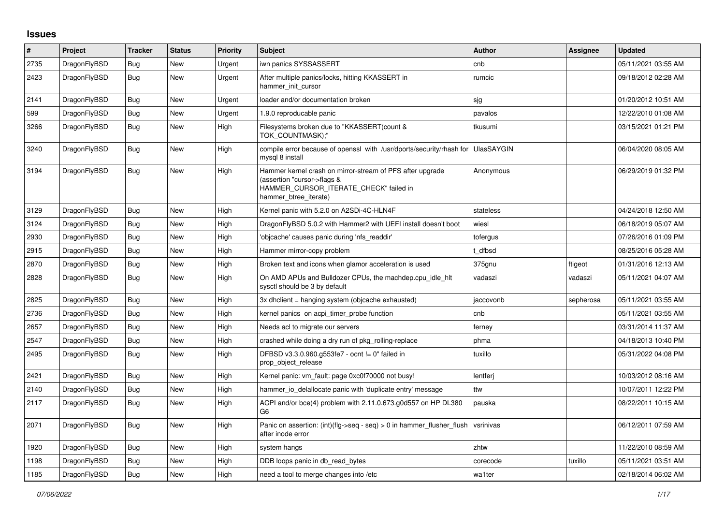## **Issues**

| $\vert$ # | Project      | <b>Tracker</b> | <b>Status</b> | Priority | <b>Subject</b>                                                                                                                                              | <b>Author</b> | Assignee  | <b>Updated</b>      |
|-----------|--------------|----------------|---------------|----------|-------------------------------------------------------------------------------------------------------------------------------------------------------------|---------------|-----------|---------------------|
| 2735      | DragonFlyBSD | <b>Bug</b>     | New           | Urgent   | iwn panics SYSSASSERT                                                                                                                                       | cnb           |           | 05/11/2021 03:55 AM |
| 2423      | DragonFlyBSD | <b>Bug</b>     | <b>New</b>    | Urgent   | After multiple panics/locks, hitting KKASSERT in<br>hammer init cursor                                                                                      | rumcic        |           | 09/18/2012 02:28 AM |
| 2141      | DragonFlyBSD | Bug            | New           | Urgent   | loader and/or documentation broken                                                                                                                          | sjg           |           | 01/20/2012 10:51 AM |
| 599       | DragonFlyBSD | <b>Bug</b>     | New           | Urgent   | 1.9.0 reproducable panic                                                                                                                                    | pavalos       |           | 12/22/2010 01:08 AM |
| 3266      | DragonFlyBSD | Bug            | New           | High     | Filesystems broken due to "KKASSERT(count &<br>TOK COUNTMASK);"                                                                                             | tkusumi       |           | 03/15/2021 01:21 PM |
| 3240      | DragonFlyBSD | Bug            | New           | High     | compile error because of openssl with /usr/dports/security/rhash for UlasSAYGIN<br>mysgl 8 install                                                          |               |           | 06/04/2020 08:05 AM |
| 3194      | DragonFlyBSD | Bug            | New           | High     | Hammer kernel crash on mirror-stream of PFS after upgrade<br>(assertion "cursor->flags &<br>HAMMER_CURSOR_ITERATE_CHECK" failed in<br>hammer btree iterate) | Anonymous     |           | 06/29/2019 01:32 PM |
| 3129      | DragonFlyBSD | Bug            | <b>New</b>    | High     | Kernel panic with 5.2.0 on A2SDi-4C-HLN4F                                                                                                                   | stateless     |           | 04/24/2018 12:50 AM |
| 3124      | DragonFlyBSD | Bug            | <b>New</b>    | High     | DragonFlyBSD 5.0.2 with Hammer2 with UEFI install doesn't boot                                                                                              | wiesl         |           | 06/18/2019 05:07 AM |
| 2930      | DragonFlyBSD | <b>Bug</b>     | New           | High     | 'objcache' causes panic during 'nfs readdir'                                                                                                                | tofergus      |           | 07/26/2016 01:09 PM |
| 2915      | DragonFlyBSD | Bug            | New           | High     | Hammer mirror-copy problem                                                                                                                                  | t dfbsd       |           | 08/25/2016 05:28 AM |
| 2870      | DragonFlyBSD | Bug            | New           | High     | Broken text and icons when glamor acceleration is used                                                                                                      | 375gnu        | ftigeot   | 01/31/2016 12:13 AM |
| 2828      | DragonFlyBSD | <b>Bug</b>     | New           | High     | On AMD APUs and Bulldozer CPUs, the machdep.cpu idle hit<br>sysctl should be 3 by default                                                                   | vadaszi       | vadaszi   | 05/11/2021 04:07 AM |
| 2825      | DragonFlyBSD | Bug            | New           | High     | 3x dhclient = hanging system (objcache exhausted)                                                                                                           | jaccovonb     | sepherosa | 05/11/2021 03:55 AM |
| 2736      | DragonFlyBSD | Bug            | New           | High     | kernel panics on acpi_timer_probe function                                                                                                                  | cnb           |           | 05/11/2021 03:55 AM |
| 2657      | DragonFlyBSD | <b>Bug</b>     | New           | High     | Needs acl to migrate our servers                                                                                                                            | ferney        |           | 03/31/2014 11:37 AM |
| 2547      | DragonFlyBSD | Bug            | New           | High     | crashed while doing a dry run of pkg rolling-replace                                                                                                        | phma          |           | 04/18/2013 10:40 PM |
| 2495      | DragonFlyBSD | Bug            | New           | High     | DFBSD v3.3.0.960.g553fe7 - ocnt != 0" failed in<br>prop object release                                                                                      | tuxillo       |           | 05/31/2022 04:08 PM |
| 2421      | DragonFlyBSD | Bug            | New           | High     | Kernel panic: vm fault: page 0xc0f70000 not busy!                                                                                                           | lentferj      |           | 10/03/2012 08:16 AM |
| 2140      | DragonFlyBSD | <b>Bug</b>     | <b>New</b>    | High     | hammer_io_delallocate panic with 'duplicate entry' message                                                                                                  | ttw           |           | 10/07/2011 12:22 PM |
| 2117      | DragonFlyBSD | Bug            | New           | High     | ACPI and/or bce(4) problem with 2.11.0.673.g0d557 on HP DL380<br>G <sub>6</sub>                                                                             | pauska        |           | 08/22/2011 10:15 AM |
| 2071      | DragonFlyBSD | <b>Bug</b>     | New           | High     | Panic on assertion: (int)(flg->seq - seq) > 0 in hammer_flusher_flush<br>after inode error                                                                  | vsrinivas     |           | 06/12/2011 07:59 AM |
| 1920      | DragonFlyBSD | <b>Bug</b>     | <b>New</b>    | High     | system hangs                                                                                                                                                | zhtw          |           | 11/22/2010 08:59 AM |
| 1198      | DragonFlyBSD | <b>Bug</b>     | New           | High     | DDB loops panic in db read bytes                                                                                                                            | corecode      | tuxillo   | 05/11/2021 03:51 AM |
| 1185      | DragonFlyBSD | Bug            | New           | High     | need a tool to merge changes into /etc                                                                                                                      | wa1ter        |           | 02/18/2014 06:02 AM |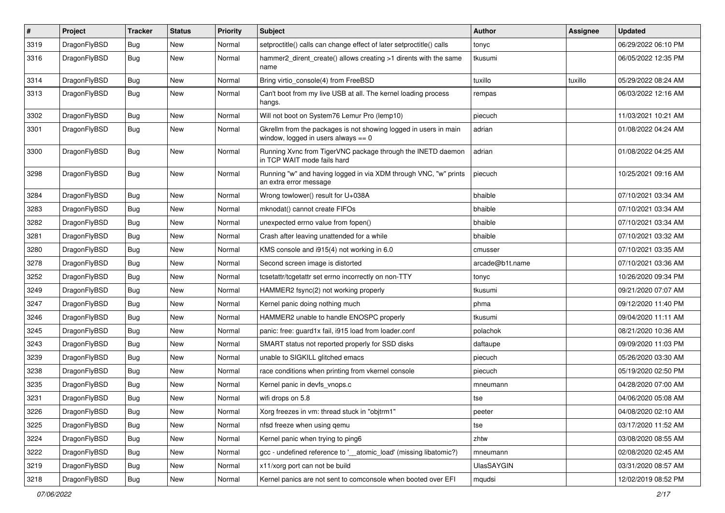| $\pmb{\#}$ | Project      | <b>Tracker</b> | <b>Status</b> | <b>Priority</b> | Subject                                                                                                   | <b>Author</b>   | Assignee | <b>Updated</b>      |
|------------|--------------|----------------|---------------|-----------------|-----------------------------------------------------------------------------------------------------------|-----------------|----------|---------------------|
| 3319       | DragonFlyBSD | Bug            | New           | Normal          | setproctitle() calls can change effect of later setproctitle() calls                                      | tonyc           |          | 06/29/2022 06:10 PM |
| 3316       | DragonFlyBSD | Bug            | New           | Normal          | hammer2_dirent_create() allows creating >1 dirents with the same<br>name                                  | tkusumi         |          | 06/05/2022 12:35 PM |
| 3314       | DragonFlyBSD | Bug            | New           | Normal          | Bring virtio_console(4) from FreeBSD                                                                      | tuxillo         | tuxillo  | 05/29/2022 08:24 AM |
| 3313       | DragonFlyBSD | Bug            | New           | Normal          | Can't boot from my live USB at all. The kernel loading process<br>hangs.                                  | rempas          |          | 06/03/2022 12:16 AM |
| 3302       | DragonFlyBSD | Bug            | <b>New</b>    | Normal          | Will not boot on System76 Lemur Pro (lemp10)                                                              | piecuch         |          | 11/03/2021 10:21 AM |
| 3301       | DragonFlyBSD | Bug            | New           | Normal          | Gkrellm from the packages is not showing logged in users in main<br>window, logged in users always $== 0$ | adrian          |          | 01/08/2022 04:24 AM |
| 3300       | DragonFlyBSD | Bug            | New           | Normal          | Running Xvnc from TigerVNC package through the INETD daemon<br>in TCP WAIT mode fails hard                | adrian          |          | 01/08/2022 04:25 AM |
| 3298       | DragonFlyBSD | Bug            | New           | Normal          | Running "w" and having logged in via XDM through VNC, "w" prints<br>an extra error message                | piecuch         |          | 10/25/2021 09:16 AM |
| 3284       | DragonFlyBSD | <b>Bug</b>     | <b>New</b>    | Normal          | Wrong towlower() result for U+038A                                                                        | bhaible         |          | 07/10/2021 03:34 AM |
| 3283       | DragonFlyBSD | Bug            | New           | Normal          | mknodat() cannot create FIFOs                                                                             | bhaible         |          | 07/10/2021 03:34 AM |
| 3282       | DragonFlyBSD | Bug            | New           | Normal          | unexpected errno value from fopen()                                                                       | bhaible         |          | 07/10/2021 03:34 AM |
| 3281       | DragonFlyBSD | Bug            | <b>New</b>    | Normal          | Crash after leaving unattended for a while                                                                | bhaible         |          | 07/10/2021 03:32 AM |
| 3280       | DragonFlyBSD | Bug            | New           | Normal          | KMS console and i915(4) not working in 6.0                                                                | cmusser         |          | 07/10/2021 03:35 AM |
| 3278       | DragonFlyBSD | Bug            | <b>New</b>    | Normal          | Second screen image is distorted                                                                          | arcade@b1t.name |          | 07/10/2021 03:36 AM |
| 3252       | DragonFlyBSD | Bug            | <b>New</b>    | Normal          | tcsetattr/tcgetattr set errno incorrectly on non-TTY                                                      | tonyc           |          | 10/26/2020 09:34 PM |
| 3249       | DragonFlyBSD | <b>Bug</b>     | <b>New</b>    | Normal          | HAMMER2 fsync(2) not working properly                                                                     | tkusumi         |          | 09/21/2020 07:07 AM |
| 3247       | DragonFlyBSD | <b>Bug</b>     | <b>New</b>    | Normal          | Kernel panic doing nothing much                                                                           | phma            |          | 09/12/2020 11:40 PM |
| 3246       | DragonFlyBSD | Bug            | <b>New</b>    | Normal          | HAMMER2 unable to handle ENOSPC properly                                                                  | tkusumi         |          | 09/04/2020 11:11 AM |
| 3245       | DragonFlyBSD | Bug            | New           | Normal          | panic: free: guard1x fail, i915 load from loader.conf                                                     | polachok        |          | 08/21/2020 10:36 AM |
| 3243       | DragonFlyBSD | Bug            | New           | Normal          | SMART status not reported properly for SSD disks                                                          | daftaupe        |          | 09/09/2020 11:03 PM |
| 3239       | DragonFlyBSD | Bug            | New           | Normal          | unable to SIGKILL glitched emacs                                                                          | piecuch         |          | 05/26/2020 03:30 AM |
| 3238       | DragonFlyBSD | Bug            | New           | Normal          | race conditions when printing from vkernel console                                                        | piecuch         |          | 05/19/2020 02:50 PM |
| 3235       | DragonFlyBSD | Bug            | <b>New</b>    | Normal          | Kernel panic in devfs_vnops.c                                                                             | mneumann        |          | 04/28/2020 07:00 AM |
| 3231       | DragonFlyBSD | Bug            | New           | Normal          | wifi drops on 5.8                                                                                         | tse             |          | 04/06/2020 05:08 AM |
| 3226       | DragonFlyBSD | <b>Bug</b>     | New           | Normal          | Xorg freezes in vm: thread stuck in "objtrm1"                                                             | peeter          |          | 04/08/2020 02:10 AM |
| 3225       | DragonFlyBSD | Bug            | New           | Normal          | nfsd freeze when using gemu                                                                               | tse             |          | 03/17/2020 11:52 AM |
| 3224       | DragonFlyBSD | <b>Bug</b>     | New           | Normal          | Kernel panic when trying to ping6                                                                         | zhtw            |          | 03/08/2020 08:55 AM |
| 3222       | DragonFlyBSD | Bug            | New           | Normal          | gcc - undefined reference to '__atomic_load' (missing libatomic?)                                         | mneumann        |          | 02/08/2020 02:45 AM |
| 3219       | DragonFlyBSD | <b>Bug</b>     | New           | Normal          | x11/xorg port can not be build                                                                            | UlasSAYGIN      |          | 03/31/2020 08:57 AM |
| 3218       | DragonFlyBSD | Bug            | New           | Normal          | Kernel panics are not sent to comconsole when booted over EFI                                             | mqudsi          |          | 12/02/2019 08:52 PM |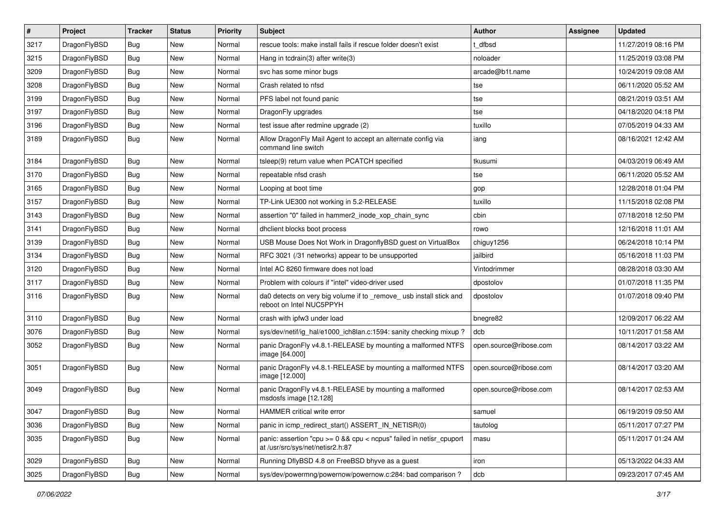| $\sharp$ | Project      | <b>Tracker</b> | <b>Status</b> | <b>Priority</b> | Subject                                                                                                 | Author                 | Assignee | <b>Updated</b>      |
|----------|--------------|----------------|---------------|-----------------|---------------------------------------------------------------------------------------------------------|------------------------|----------|---------------------|
| 3217     | DragonFlyBSD | Bug            | New           | Normal          | rescue tools: make install fails if rescue folder doesn't exist                                         | t dfbsd                |          | 11/27/2019 08:16 PM |
| 3215     | DragonFlyBSD | Bug            | New           | Normal          | Hang in tcdrain(3) after write(3)                                                                       | noloader               |          | 11/25/2019 03:08 PM |
| 3209     | DragonFlyBSD | Bug            | New           | Normal          | svc has some minor bugs                                                                                 | arcade@b1t.name        |          | 10/24/2019 09:08 AM |
| 3208     | DragonFlyBSD | Bug            | New           | Normal          | Crash related to nfsd                                                                                   | tse                    |          | 06/11/2020 05:52 AM |
| 3199     | DragonFlyBSD | Bug            | <b>New</b>    | Normal          | PFS label not found panic                                                                               | tse                    |          | 08/21/2019 03:51 AM |
| 3197     | DragonFlyBSD | Bug            | <b>New</b>    | Normal          | DragonFly upgrades                                                                                      | tse                    |          | 04/18/2020 04:18 PM |
| 3196     | DragonFlyBSD | Bug            | New           | Normal          | test issue after redmine upgrade (2)                                                                    | tuxillo                |          | 07/05/2019 04:33 AM |
| 3189     | DragonFlyBSD | Bug            | <b>New</b>    | Normal          | Allow DragonFly Mail Agent to accept an alternate config via<br>command line switch                     | iang                   |          | 08/16/2021 12:42 AM |
| 3184     | DragonFlyBSD | Bug            | <b>New</b>    | Normal          | tsleep(9) return value when PCATCH specified                                                            | tkusumi                |          | 04/03/2019 06:49 AM |
| 3170     | DragonFlyBSD | Bug            | New           | Normal          | repeatable nfsd crash                                                                                   | tse                    |          | 06/11/2020 05:52 AM |
| 3165     | DragonFlyBSD | Bug            | New           | Normal          | Looping at boot time                                                                                    | gop                    |          | 12/28/2018 01:04 PM |
| 3157     | DragonFlyBSD | Bug            | New           | Normal          | TP-Link UE300 not working in 5.2-RELEASE                                                                | tuxillo                |          | 11/15/2018 02:08 PM |
| 3143     | DragonFlyBSD | Bug            | <b>New</b>    | Normal          | assertion "0" failed in hammer2_inode_xop_chain_sync                                                    | cbin                   |          | 07/18/2018 12:50 PM |
| 3141     | DragonFlyBSD | Bug            | New           | Normal          | dhclient blocks boot process                                                                            | rowo                   |          | 12/16/2018 11:01 AM |
| 3139     | DragonFlyBSD | Bug            | New           | Normal          | USB Mouse Does Not Work in DragonflyBSD guest on VirtualBox                                             | chiguy1256             |          | 06/24/2018 10:14 PM |
| 3134     | DragonFlyBSD | Bug            | <b>New</b>    | Normal          | RFC 3021 (/31 networks) appear to be unsupported                                                        | jailbird               |          | 05/16/2018 11:03 PM |
| 3120     | DragonFlyBSD | Bug            | <b>New</b>    | Normal          | Intel AC 8260 firmware does not load                                                                    | Vintodrimmer           |          | 08/28/2018 03:30 AM |
| 3117     | DragonFlyBSD | Bug            | New           | Normal          | Problem with colours if "intel" video-driver used                                                       | dpostolov              |          | 01/07/2018 11:35 PM |
| 3116     | DragonFlyBSD | <b>Bug</b>     | New           | Normal          | da0 detects on very big volume if to _remove_ usb install stick and<br>reboot on Intel NUC5PPYH         | dpostolov              |          | 01/07/2018 09:40 PM |
| 3110     | DragonFlyBSD | Bug            | <b>New</b>    | Normal          | crash with ipfw3 under load                                                                             | bnegre82               |          | 12/09/2017 06:22 AM |
| 3076     | DragonFlyBSD | Bug            | <b>New</b>    | Normal          | sys/dev/netif/ig_hal/e1000_ich8lan.c:1594: sanity checking mixup ?                                      | dcb                    |          | 10/11/2017 01:58 AM |
| 3052     | DragonFlyBSD | <b>Bug</b>     | New           | Normal          | panic DragonFly v4.8.1-RELEASE by mounting a malformed NTFS<br>image [64.000]                           | open.source@ribose.com |          | 08/14/2017 03:22 AM |
| 3051     | DragonFlyBSD | <b>Bug</b>     | New           | Normal          | panic DragonFly v4.8.1-RELEASE by mounting a malformed NTFS<br>image [12.000]                           | open.source@ribose.com |          | 08/14/2017 03:20 AM |
| 3049     | DragonFlyBSD | Bug            | New           | Normal          | panic DragonFly v4.8.1-RELEASE by mounting a malformed<br>msdosfs image [12.128]                        | open.source@ribose.com |          | 08/14/2017 02:53 AM |
| 3047     | DragonFlyBSD | <b>Bug</b>     | I New         | Normal          | HAMMER critical write error                                                                             | samuel                 |          | 06/19/2019 09:50 AM |
| 3036     | DragonFlyBSD | <b>Bug</b>     | <b>New</b>    | Normal          | panic in icmp redirect start() ASSERT IN NETISR(0)                                                      | tautolog               |          | 05/11/2017 07:27 PM |
| 3035     | DragonFlyBSD | Bug            | New           | Normal          | panic: assertion "cpu >= 0 && cpu < ncpus" failed in netisr_cpuport<br>at /usr/src/sys/net/netisr2.h:87 | masu                   |          | 05/11/2017 01:24 AM |
| 3029     | DragonFlyBSD | <b>Bug</b>     | <b>New</b>    | Normal          | Running DflyBSD 4.8 on FreeBSD bhyve as a guest                                                         | iron                   |          | 05/13/2022 04:33 AM |
| 3025     | DragonFlyBSD | <b>Bug</b>     | New           | Normal          | sys/dev/powermng/powernow/powernow.c:284: bad comparison?                                               | dcb                    |          | 09/23/2017 07:45 AM |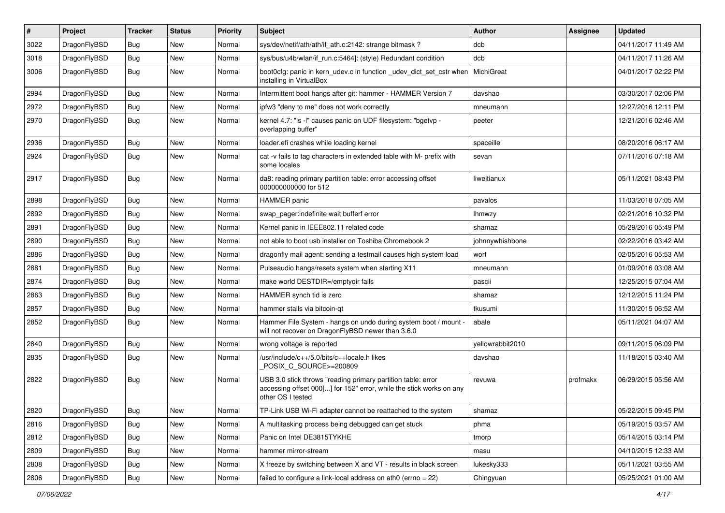| #    | Project      | <b>Tracker</b> | <b>Status</b> | <b>Priority</b> | Subject                                                                                                                                                  | Author            | Assignee | <b>Updated</b>      |
|------|--------------|----------------|---------------|-----------------|----------------------------------------------------------------------------------------------------------------------------------------------------------|-------------------|----------|---------------------|
| 3022 | DragonFlyBSD | <b>Bug</b>     | New           | Normal          | sys/dev/netif/ath/ath/if_ath.c:2142: strange bitmask?                                                                                                    | dcb               |          | 04/11/2017 11:49 AM |
| 3018 | DragonFlyBSD | <b>Bug</b>     | <b>New</b>    | Normal          | sys/bus/u4b/wlan/if_run.c:5464]: (style) Redundant condition                                                                                             | dcb               |          | 04/11/2017 11:26 AM |
| 3006 | DragonFlyBSD | Bug            | New           | Normal          | boot0cfg: panic in kern_udev.c in function _udev_dict_set_cstr when<br>installing in VirtualBox                                                          | <b>MichiGreat</b> |          | 04/01/2017 02:22 PM |
| 2994 | DragonFlyBSD | Bug            | <b>New</b>    | Normal          | Intermittent boot hangs after git: hammer - HAMMER Version 7                                                                                             | davshao           |          | 03/30/2017 02:06 PM |
| 2972 | DragonFlyBSD | <b>Bug</b>     | New           | Normal          | ipfw3 "deny to me" does not work correctly                                                                                                               | mneumann          |          | 12/27/2016 12:11 PM |
| 2970 | DragonFlyBSD | Bug            | <b>New</b>    | Normal          | kernel 4.7: "Is -I" causes panic on UDF filesystem: "bgetvp -<br>overlapping buffer"                                                                     | peeter            |          | 12/21/2016 02:46 AM |
| 2936 | DragonFlyBSD | Bug            | <b>New</b>    | Normal          | loader.efi crashes while loading kernel                                                                                                                  | spaceille         |          | 08/20/2016 06:17 AM |
| 2924 | DragonFlyBSD | Bug            | New           | Normal          | cat -v fails to tag characters in extended table with M- prefix with<br>some locales                                                                     | sevan             |          | 07/11/2016 07:18 AM |
| 2917 | DragonFlyBSD | Bug            | New           | Normal          | da8: reading primary partition table: error accessing offset<br>000000000000 for 512                                                                     | liweitianux       |          | 05/11/2021 08:43 PM |
| 2898 | DragonFlyBSD | Bug            | <b>New</b>    | Normal          | HAMMER panic                                                                                                                                             | pavalos           |          | 11/03/2018 07:05 AM |
| 2892 | DragonFlyBSD | Bug            | <b>New</b>    | Normal          | swap pager:indefinite wait bufferf error                                                                                                                 | <b>Ihmwzy</b>     |          | 02/21/2016 10:32 PM |
| 2891 | DragonFlyBSD | <b>Bug</b>     | New           | Normal          | Kernel panic in IEEE802.11 related code                                                                                                                  | shamaz            |          | 05/29/2016 05:49 PM |
| 2890 | DragonFlyBSD | Bug            | <b>New</b>    | Normal          | not able to boot usb installer on Toshiba Chromebook 2                                                                                                   | johnnywhishbone   |          | 02/22/2016 03:42 AM |
| 2886 | DragonFlyBSD | <b>Bug</b>     | <b>New</b>    | Normal          | dragonfly mail agent: sending a testmail causes high system load                                                                                         | worf              |          | 02/05/2016 05:53 AM |
| 2881 | DragonFlyBSD | <b>Bug</b>     | New           | Normal          | Pulseaudio hangs/resets system when starting X11                                                                                                         | mneumann          |          | 01/09/2016 03:08 AM |
| 2874 | DragonFlyBSD | <b>Bug</b>     | New           | Normal          | make world DESTDIR=/emptydir fails                                                                                                                       | pascii            |          | 12/25/2015 07:04 AM |
| 2863 | DragonFlyBSD | <b>Bug</b>     | <b>New</b>    | Normal          | HAMMER synch tid is zero                                                                                                                                 | shamaz            |          | 12/12/2015 11:24 PM |
| 2857 | DragonFlyBSD | <b>Bug</b>     | New           | Normal          | hammer stalls via bitcoin-qt                                                                                                                             | tkusumi           |          | 11/30/2015 06:52 AM |
| 2852 | DragonFlyBSD | Bug            | <b>New</b>    | Normal          | Hammer File System - hangs on undo during system boot / mount -<br>will not recover on DragonFlyBSD newer than 3.6.0                                     | abale             |          | 05/11/2021 04:07 AM |
| 2840 | DragonFlyBSD | Bug            | <b>New</b>    | Normal          | wrong voltage is reported                                                                                                                                | vellowrabbit2010  |          | 09/11/2015 06:09 PM |
| 2835 | DragonFlyBSD | Bug            | New           | Normal          | /usr/include/c++/5.0/bits/c++locale.h likes<br>POSIX C_SOURCE>=200809                                                                                    | davshao           |          | 11/18/2015 03:40 AM |
| 2822 | DragonFlyBSD | Bug            | New           | Normal          | USB 3.0 stick throws "reading primary partition table: error<br>accessing offset 000[] for 152" error, while the stick works on any<br>other OS I tested | revuwa            | profmakx | 06/29/2015 05:56 AM |
| 2820 | DragonFlyBSD | <b>Bug</b>     | New           | Normal          | TP-Link USB Wi-Fi adapter cannot be reattached to the system                                                                                             | shamaz            |          | 05/22/2015 09:45 PM |
| 2816 | DragonFlyBSD | <b>Bug</b>     | New           | Normal          | A multitasking process being debugged can get stuck                                                                                                      | phma              |          | 05/19/2015 03:57 AM |
| 2812 | DragonFlyBSD | <b>Bug</b>     | New           | Normal          | Panic on Intel DE3815TYKHE                                                                                                                               | tmorp             |          | 05/14/2015 03:14 PM |
| 2809 | DragonFlyBSD | Bug            | New           | Normal          | hammer mirror-stream                                                                                                                                     | masu              |          | 04/10/2015 12:33 AM |
| 2808 | DragonFlyBSD | <b>Bug</b>     | New           | Normal          | X freeze by switching between X and VT - results in black screen                                                                                         | lukesky333        |          | 05/11/2021 03:55 AM |
| 2806 | DragonFlyBSD | Bug            | New           | Normal          | failed to configure a link-local address on ath0 (errno = 22)                                                                                            | Chingyuan         |          | 05/25/2021 01:00 AM |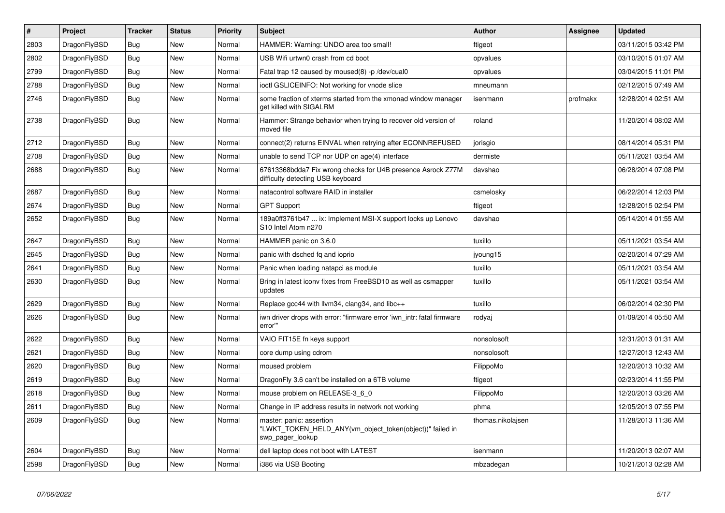| $\#$ | Project      | <b>Tracker</b> | <b>Status</b> | <b>Priority</b> | <b>Subject</b>                                                                                           | <b>Author</b>     | Assignee | <b>Updated</b>      |
|------|--------------|----------------|---------------|-----------------|----------------------------------------------------------------------------------------------------------|-------------------|----------|---------------------|
| 2803 | DragonFlyBSD | Bug            | <b>New</b>    | Normal          | HAMMER: Warning: UNDO area too small!                                                                    | ftigeot           |          | 03/11/2015 03:42 PM |
| 2802 | DragonFlyBSD | <b>Bug</b>     | <b>New</b>    | Normal          | USB Wifi urtwn0 crash from cd boot                                                                       | opvalues          |          | 03/10/2015 01:07 AM |
| 2799 | DragonFlyBSD | Bug            | New           | Normal          | Fatal trap 12 caused by moused(8) -p/dev/cual0                                                           | opvalues          |          | 03/04/2015 11:01 PM |
| 2788 | DragonFlyBSD | Bug            | <b>New</b>    | Normal          | ioctl GSLICEINFO: Not working for vnode slice                                                            | mneumann          |          | 02/12/2015 07:49 AM |
| 2746 | DragonFlyBSD | <b>Bug</b>     | <b>New</b>    | Normal          | some fraction of xterms started from the xmonad window manager<br>get killed with SIGALRM                | isenmann          | profmakx | 12/28/2014 02:51 AM |
| 2738 | DragonFlyBSD | Bug            | <b>New</b>    | Normal          | Hammer: Strange behavior when trying to recover old version of<br>moved file                             | roland            |          | 11/20/2014 08:02 AM |
| 2712 | DragonFlyBSD | Bug            | <b>New</b>    | Normal          | connect(2) returns EINVAL when retrying after ECONNREFUSED                                               | jorisgio          |          | 08/14/2014 05:31 PM |
| 2708 | DragonFlyBSD | Bug            | <b>New</b>    | Normal          | unable to send TCP nor UDP on age(4) interface                                                           | dermiste          |          | 05/11/2021 03:54 AM |
| 2688 | DragonFlyBSD | <b>Bug</b>     | <b>New</b>    | Normal          | 67613368bdda7 Fix wrong checks for U4B presence Asrock Z77M<br>difficulty detecting USB keyboard         | davshao           |          | 06/28/2014 07:08 PM |
| 2687 | DragonFlyBSD | Bug            | <b>New</b>    | Normal          | natacontrol software RAID in installer                                                                   | csmelosky         |          | 06/22/2014 12:03 PM |
| 2674 | DragonFlyBSD | <b>Bug</b>     | <b>New</b>    | Normal          | <b>GPT Support</b>                                                                                       | ftigeot           |          | 12/28/2015 02:54 PM |
| 2652 | DragonFlyBSD | Bug            | <b>New</b>    | Normal          | 189a0ff3761b47  ix: Implement MSI-X support locks up Lenovo<br>S10 Intel Atom n270                       | davshao           |          | 05/14/2014 01:55 AM |
| 2647 | DragonFlyBSD | <b>Bug</b>     | <b>New</b>    | Normal          | HAMMER panic on 3.6.0                                                                                    | tuxillo           |          | 05/11/2021 03:54 AM |
| 2645 | DragonFlyBSD | <b>Bug</b>     | <b>New</b>    | Normal          | panic with dsched fq and ioprio                                                                          | jyoung15          |          | 02/20/2014 07:29 AM |
| 2641 | DragonFlyBSD | Bug            | <b>New</b>    | Normal          | Panic when loading natapci as module                                                                     | tuxillo           |          | 05/11/2021 03:54 AM |
| 2630 | DragonFlyBSD | <b>Bug</b>     | <b>New</b>    | Normal          | Bring in latest iconv fixes from FreeBSD10 as well as csmapper<br>updates                                | tuxillo           |          | 05/11/2021 03:54 AM |
| 2629 | DragonFlyBSD | <b>Bug</b>     | <b>New</b>    | Normal          | Replace gcc44 with llvm34, clang34, and libc++                                                           | tuxillo           |          | 06/02/2014 02:30 PM |
| 2626 | DragonFlyBSD | <b>Bug</b>     | <b>New</b>    | Normal          | iwn driver drops with error: "firmware error 'iwn intr: fatal firmware<br>error"                         | rodyaj            |          | 01/09/2014 05:50 AM |
| 2622 | DragonFlyBSD | Bug            | <b>New</b>    | Normal          | VAIO FIT15E fn keys support                                                                              | nonsolosoft       |          | 12/31/2013 01:31 AM |
| 2621 | DragonFlyBSD | Bug            | New           | Normal          | core dump using cdrom                                                                                    | nonsolosoft       |          | 12/27/2013 12:43 AM |
| 2620 | DragonFlyBSD | Bug            | <b>New</b>    | Normal          | moused problem                                                                                           | FilippoMo         |          | 12/20/2013 10:32 AM |
| 2619 | DragonFlyBSD | Bug            | <b>New</b>    | Normal          | DragonFly 3.6 can't be installed on a 6TB volume                                                         | ftigeot           |          | 02/23/2014 11:55 PM |
| 2618 | DragonFlyBSD | <b>Bug</b>     | <b>New</b>    | Normal          | mouse problem on RELEASE-3_6_0                                                                           | FilippoMo         |          | 12/20/2013 03:26 AM |
| 2611 | DragonFlyBSD | Bug            | <b>New</b>    | Normal          | Change in IP address results in network not working                                                      | phma              |          | 12/05/2013 07:55 PM |
| 2609 | DragonFlyBSD | Bug            | <b>New</b>    | Normal          | master: panic: assertion<br>"LWKT TOKEN HELD ANY(vm object token(object))" failed in<br>swp pager lookup | thomas.nikolajsen |          | 11/28/2013 11:36 AM |
| 2604 | DragonFlyBSD | Bug            | <b>New</b>    | Normal          | dell laptop does not boot with LATEST                                                                    | isenmann          |          | 11/20/2013 02:07 AM |
| 2598 | DragonFlyBSD | Bug            | <b>New</b>    | Normal          | i386 via USB Booting                                                                                     | mbzadegan         |          | 10/21/2013 02:28 AM |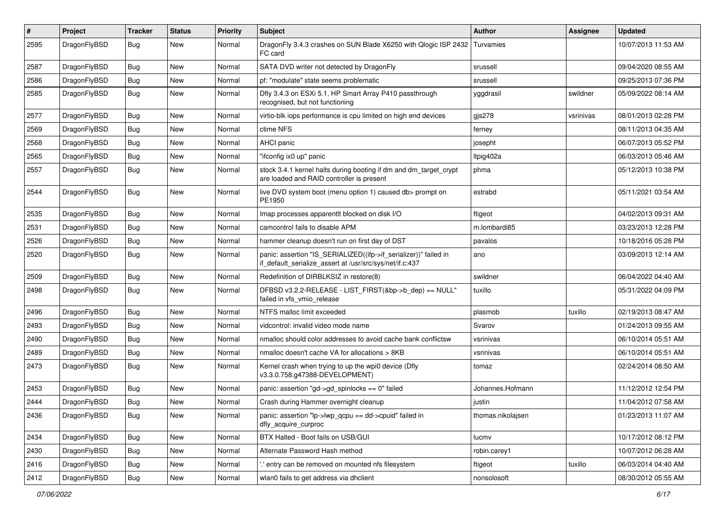| #    | Project      | <b>Tracker</b> | <b>Status</b> | <b>Priority</b> | Subject                                                                                                                      | Author            | Assignee  | <b>Updated</b>      |
|------|--------------|----------------|---------------|-----------------|------------------------------------------------------------------------------------------------------------------------------|-------------------|-----------|---------------------|
| 2595 | DragonFlyBSD | Bug            | <b>New</b>    | Normal          | DragonFly 3.4.3 crashes on SUN Blade X6250 with Qlogic ISP 2432<br>FC card                                                   | Turvamies         |           | 10/07/2013 11:53 AM |
| 2587 | DragonFlyBSD | <b>Bug</b>     | <b>New</b>    | Normal          | SATA DVD writer not detected by DragonFly                                                                                    | srussell          |           | 09/04/2020 08:55 AM |
| 2586 | DragonFlyBSD | <b>Bug</b>     | <b>New</b>    | Normal          | pf: "modulate" state seems problematic                                                                                       | srussell          |           | 09/25/2013 07:36 PM |
| 2585 | DragonFlyBSD | <b>Bug</b>     | <b>New</b>    | Normal          | Dfly 3.4.3 on ESXi 5.1, HP Smart Array P410 passthrough<br>recognised, but not functioning                                   | yggdrasil         | swildner  | 05/09/2022 08:14 AM |
| 2577 | DragonFlyBSD | <b>Bug</b>     | <b>New</b>    | Normal          | virtio-blk iops performance is cpu limited on high end devices                                                               | $g$ js278         | vsrinivas | 08/01/2013 02:28 PM |
| 2569 | DragonFlyBSD | <b>Bug</b>     | <b>New</b>    | Normal          | ctime NFS                                                                                                                    | ferney            |           | 08/11/2013 04:35 AM |
| 2568 | DragonFlyBSD | <b>Bug</b>     | <b>New</b>    | Normal          | <b>AHCI</b> panic                                                                                                            | josepht           |           | 06/07/2013 05:52 PM |
| 2565 | DragonFlyBSD | <b>Bug</b>     | <b>New</b>    | Normal          | "ifconfig ix0 up" panic                                                                                                      | Itpig402a         |           | 06/03/2013 05:46 AM |
| 2557 | DragonFlyBSD | <b>Bug</b>     | <b>New</b>    | Normal          | stock 3.4.1 kernel halts during booting if dm and dm_target_crypt<br>are loaded and RAID controller is present               | phma              |           | 05/12/2013 10:38 PM |
| 2544 | DragonFlyBSD | <b>Bug</b>     | New           | Normal          | live DVD system boot (menu option 1) caused db> prompt on<br>PE1950                                                          | estrabd           |           | 05/11/2021 03:54 AM |
| 2535 | DragonFlyBSD | <b>Bug</b>     | <b>New</b>    | Normal          | Imap processes apparentlt blocked on disk I/O                                                                                | ftigeot           |           | 04/02/2013 09:31 AM |
| 2531 | DragonFlyBSD | <b>Bug</b>     | <b>New</b>    | Normal          | camcontrol fails to disable APM                                                                                              | m.lombardi85      |           | 03/23/2013 12:28 PM |
| 2526 | DragonFlyBSD | <b>Bug</b>     | New           | Normal          | hammer cleanup doesn't run on first day of DST                                                                               | pavalos           |           | 10/18/2016 05:28 PM |
| 2520 | DragonFlyBSD | <b>Bug</b>     | <b>New</b>    | Normal          | panic: assertion "IS_SERIALIZED((ifp->if_serializer))" failed in<br>if_default_serialize_assert at /usr/src/sys/net/if.c:437 | ano               |           | 03/09/2013 12:14 AM |
| 2509 | DragonFlyBSD | <b>Bug</b>     | <b>New</b>    | Normal          | Redefinition of DIRBLKSIZ in restore(8)                                                                                      | swildner          |           | 06/04/2022 04:40 AM |
| 2498 | DragonFlyBSD | <b>Bug</b>     | <b>New</b>    | Normal          | DFBSD v3.2.2-RELEASE - LIST_FIRST(&bp->b_dep) == NULL"<br>failed in vfs vmio release                                         | tuxillo           |           | 05/31/2022 04:09 PM |
| 2496 | DragonFlyBSD | <b>Bug</b>     | <b>New</b>    | Normal          | NTFS malloc limit exceeded                                                                                                   | plasmob           | tuxillo   | 02/19/2013 08:47 AM |
| 2493 | DragonFlyBSD | Bug            | <b>New</b>    | Normal          | vidcontrol: invalid video mode name                                                                                          | Svarov            |           | 01/24/2013 09:55 AM |
| 2490 | DragonFlyBSD | Bug            | <b>New</b>    | Normal          | nmalloc should color addresses to avoid cache bank conflictsw                                                                | vsrinivas         |           | 06/10/2014 05:51 AM |
| 2489 | DragonFlyBSD | Bug            | <b>New</b>    | Normal          | nmalloc doesn't cache VA for allocations > 8KB                                                                               | vsrinivas         |           | 06/10/2014 05:51 AM |
| 2473 | DragonFlyBSD | <b>Bug</b>     | New           | Normal          | Kernel crash when trying to up the wpi0 device (Dfly<br>v3.3.0.758.g47388-DEVELOPMENT)                                       | tomaz             |           | 02/24/2014 08:50 AM |
| 2453 | DragonFlyBSD | Bug            | <b>New</b>    | Normal          | panic: assertion "gd->gd_spinlocks == 0" failed                                                                              | Johannes.Hofmann  |           | 11/12/2012 12:54 PM |
| 2444 | DragonFlyBSD | Bug            | New           | Normal          | Crash during Hammer overnight cleanup                                                                                        | justin            |           | 11/04/2012 07:58 AM |
| 2436 | DragonFlyBSD | Bug            | New           | Normal          | panic: assertion "lp->lwp_qcpu == dd->cpuid" failed in<br>dfly acquire curproc                                               | thomas.nikolajsen |           | 01/23/2013 11:07 AM |
| 2434 | DragonFlyBSD | <b>Bug</b>     | New           | Normal          | BTX Halted - Boot fails on USB/GUI                                                                                           | lucmv             |           | 10/17/2012 08:12 PM |
| 2430 | DragonFlyBSD | Bug            | New           | Normal          | Alternate Password Hash method                                                                                               | robin.carey1      |           | 10/07/2012 06:28 AM |
| 2416 | DragonFlyBSD | <b>Bug</b>     | New           | Normal          | ' entry can be removed on mounted nfs filesystem                                                                             | ftigeot           | tuxillo   | 06/03/2014 04:40 AM |
| 2412 | DragonFlyBSD | Bug            | New           | Normal          | wlan0 fails to get address via dhclient                                                                                      | nonsolosoft       |           | 08/30/2012 05:55 AM |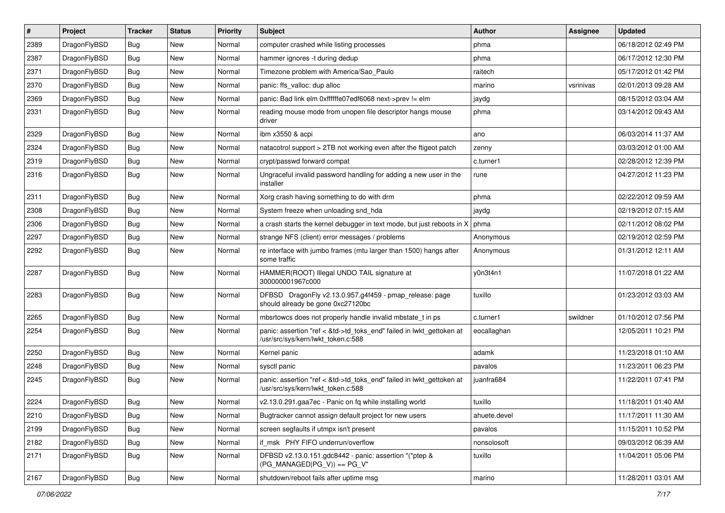| #    | Project      | <b>Tracker</b> | <b>Status</b> | <b>Priority</b> | Subject                                                                                                    | <b>Author</b> | Assignee  | <b>Updated</b>      |
|------|--------------|----------------|---------------|-----------------|------------------------------------------------------------------------------------------------------------|---------------|-----------|---------------------|
| 2389 | DragonFlyBSD | <b>Bug</b>     | New           | Normal          | computer crashed while listing processes                                                                   | phma          |           | 06/18/2012 02:49 PM |
| 2387 | DragonFlyBSD | Bug            | New           | Normal          | hammer ignores -t during dedup                                                                             | phma          |           | 06/17/2012 12:30 PM |
| 2371 | DragonFlyBSD | <b>Bug</b>     | New           | Normal          | Timezone problem with America/Sao_Paulo                                                                    | raitech       |           | 05/17/2012 01:42 PM |
| 2370 | DragonFlyBSD | <b>Bug</b>     | New           | Normal          | panic: ffs_valloc: dup alloc                                                                               | marino        | vsrinivas | 02/01/2013 09:28 AM |
| 2369 | DragonFlyBSD | Bug            | New           | Normal          | panic: Bad link elm 0xffffffe07edf6068 next->prev != elm                                                   | jaydg         |           | 08/15/2012 03:04 AM |
| 2331 | DragonFlyBSD | Bug            | New           | Normal          | reading mouse mode from unopen file descriptor hangs mouse<br>driver                                       | phma          |           | 03/14/2012 09:43 AM |
| 2329 | DragonFlyBSD | Bug            | <b>New</b>    | Normal          | ibm x3550 & acpi                                                                                           | ano           |           | 06/03/2014 11:37 AM |
| 2324 | DragonFlyBSD | <b>Bug</b>     | New           | Normal          | natacotrol support > 2TB not working even after the ftigeot patch                                          | zenny         |           | 03/03/2012 01:00 AM |
| 2319 | DragonFlyBSD | Bug            | New           | Normal          | crypt/passwd forward compat                                                                                | c.turner1     |           | 02/28/2012 12:39 PM |
| 2316 | DragonFlyBSD | <b>Bug</b>     | New           | Normal          | Ungraceful invalid password handling for adding a new user in the<br>installer                             | rune          |           | 04/27/2012 11:23 PM |
| 2311 | DragonFlyBSD | Bug            | New           | Normal          | Xorg crash having something to do with drm                                                                 | phma          |           | 02/22/2012 09:59 AM |
| 2308 | DragonFlyBSD | Bug            | New           | Normal          | System freeze when unloading snd hda                                                                       | jaydg         |           | 02/19/2012 07:15 AM |
| 2306 | DragonFlyBSD | Bug            | New           | Normal          | a crash starts the kernel debugger in text mode, but just reboots in X                                     | phma          |           | 02/11/2012 08:02 PM |
| 2297 | DragonFlyBSD | Bug            | New           | Normal          | strange NFS (client) error messages / problems                                                             | Anonymous     |           | 02/19/2012 02:59 PM |
| 2292 | DragonFlyBSD | Bug            | New           | Normal          | re interface with jumbo frames (mtu larger than 1500) hangs after<br>some traffic                          | Anonymous     |           | 01/31/2012 12:11 AM |
| 2287 | DragonFlyBSD | Bug            | New           | Normal          | HAMMER(ROOT) Illegal UNDO TAIL signature at<br>300000001967c000                                            | y0n3t4n1      |           | 11/07/2018 01:22 AM |
| 2283 | DragonFlyBSD | Bug            | New           | Normal          | DFBSD DragonFly v2.13.0.957.g4f459 - pmap_release: page<br>should already be gone 0xc27120bc               | tuxillo       |           | 01/23/2012 03:03 AM |
| 2265 | DragonFlyBSD | Bug            | New           | Normal          | mbsrtowcs does not properly handle invalid mbstate_t in ps                                                 | c.turner1     | swildner  | 01/10/2012 07:56 PM |
| 2254 | DragonFlyBSD | Bug            | New           | Normal          | panic: assertion "ref < &td->td_toks_end" failed in lwkt_gettoken at<br>/usr/src/sys/kern/lwkt_token.c:588 | eocallaghan   |           | 12/05/2011 10:21 PM |
| 2250 | DragonFlyBSD | <b>Bug</b>     | New           | Normal          | Kernel panic                                                                                               | adamk         |           | 11/23/2018 01:10 AM |
| 2248 | DragonFlyBSD | Bug            | New           | Normal          | sysctl panic                                                                                               | pavalos       |           | 11/23/2011 06:23 PM |
| 2245 | DragonFlyBSD | Bug            | New           | Normal          | panic: assertion "ref < &td->td_toks_end" failed in lwkt_gettoken at<br>/usr/src/sys/kern/lwkt_token.c:588 | juanfra684    |           | 11/22/2011 07:41 PM |
| 2224 | DragonFlyBSD | Bug            | New           | Normal          | v2.13.0.291.gaa7ec - Panic on fq while installing world                                                    | tuxillo       |           | 11/18/2011 01:40 AM |
| 2210 | DragonFlyBSD | <b>Bug</b>     | New           | Normal          | Bugtracker cannot assign default project for new users                                                     | ahuete.devel  |           | 11/17/2011 11:30 AM |
| 2199 | DragonFlyBSD | <b>Bug</b>     | New           | Normal          | screen segfaults if utmpx isn't present                                                                    | pavalos       |           | 11/15/2011 10:52 PM |
| 2182 | DragonFlyBSD | Bug            | <b>New</b>    | Normal          | if_msk PHY FIFO underrun/overflow                                                                          | nonsolosoft   |           | 09/03/2012 06:39 AM |
| 2171 | DragonFlyBSD | <b>Bug</b>     | New           | Normal          | DFBSD v2.13.0.151.gdc8442 - panic: assertion "(*ptep &<br>$(PG_MANAGED PG_V)$ == PG_V"                     | tuxillo       |           | 11/04/2011 05:06 PM |
| 2167 | DragonFlyBSD | <b>Bug</b>     | New           | Normal          | shutdown/reboot fails after uptime msg                                                                     | marino        |           | 11/28/2011 03:01 AM |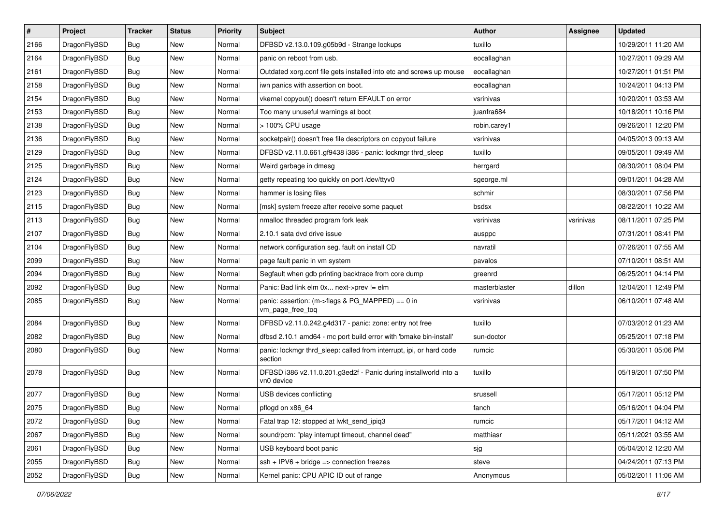| $\sharp$ | Project      | <b>Tracker</b> | <b>Status</b> | <b>Priority</b> | Subject                                                                        | Author        | Assignee  | <b>Updated</b>      |
|----------|--------------|----------------|---------------|-----------------|--------------------------------------------------------------------------------|---------------|-----------|---------------------|
| 2166     | DragonFlyBSD | Bug            | New           | Normal          | DFBSD v2.13.0.109.g05b9d - Strange lockups                                     | tuxillo       |           | 10/29/2011 11:20 AM |
| 2164     | DragonFlyBSD | Bug            | <b>New</b>    | Normal          | panic on reboot from usb.                                                      | eocallaghan   |           | 10/27/2011 09:29 AM |
| 2161     | DragonFlyBSD | <b>Bug</b>     | New           | Normal          | Outdated xorg.conf file gets installed into etc and screws up mouse            | eocallaghan   |           | 10/27/2011 01:51 PM |
| 2158     | DragonFlyBSD | Bug            | <b>New</b>    | Normal          | iwn panics with assertion on boot.                                             | eocallaghan   |           | 10/24/2011 04:13 PM |
| 2154     | DragonFlyBSD | Bug            | <b>New</b>    | Normal          | vkernel copyout() doesn't return EFAULT on error                               | vsrinivas     |           | 10/20/2011 03:53 AM |
| 2153     | DragonFlyBSD | Bug            | <b>New</b>    | Normal          | Too many unuseful warnings at boot                                             | juanfra684    |           | 10/18/2011 10:16 PM |
| 2138     | DragonFlyBSD | Bug            | New           | Normal          | > 100% CPU usage                                                               | robin.carey1  |           | 09/26/2011 12:20 PM |
| 2136     | DragonFlyBSD | <b>Bug</b>     | <b>New</b>    | Normal          | socketpair() doesn't free file descriptors on copyout failure                  | vsrinivas     |           | 04/05/2013 09:13 AM |
| 2129     | DragonFlyBSD | Bug            | New           | Normal          | DFBSD v2.11.0.661.gf9438 i386 - panic: lockmgr thrd_sleep                      | tuxillo       |           | 09/05/2011 09:49 AM |
| 2125     | DragonFlyBSD | Bug            | New           | Normal          | Weird garbage in dmesg                                                         | herrgard      |           | 08/30/2011 08:04 PM |
| 2124     | DragonFlyBSD | Bug            | New           | Normal          | getty repeating too quickly on port /dev/ttyv0                                 | sgeorge.ml    |           | 09/01/2011 04:28 AM |
| 2123     | DragonFlyBSD | Bug            | <b>New</b>    | Normal          | hammer is losing files                                                         | schmir        |           | 08/30/2011 07:56 PM |
| 2115     | DragonFlyBSD | Bug            | <b>New</b>    | Normal          | [msk] system freeze after receive some paquet                                  | bsdsx         |           | 08/22/2011 10:22 AM |
| 2113     | DragonFlyBSD | Bug            | New           | Normal          | nmalloc threaded program fork leak                                             | vsrinivas     | vsrinivas | 08/11/2011 07:25 PM |
| 2107     | DragonFlyBSD | Bug            | <b>New</b>    | Normal          | 2.10.1 sata dvd drive issue                                                    | ausppc        |           | 07/31/2011 08:41 PM |
| 2104     | DragonFlyBSD | Bug            | New           | Normal          | network configuration seg. fault on install CD                                 | navratil      |           | 07/26/2011 07:55 AM |
| 2099     | DragonFlyBSD | Bug            | New           | Normal          | page fault panic in vm system                                                  | pavalos       |           | 07/10/2011 08:51 AM |
| 2094     | DragonFlyBSD | Bug            | New           | Normal          | Segfault when gdb printing backtrace from core dump                            | greenrd       |           | 06/25/2011 04:14 PM |
| 2092     | DragonFlyBSD | Bug            | <b>New</b>    | Normal          | Panic: Bad link elm 0x next->prev != elm                                       | masterblaster | dillon    | 12/04/2011 12:49 PM |
| 2085     | DragonFlyBSD | Bug            | New           | Normal          | panic: assertion: (m->flags & PG_MAPPED) == 0 in<br>vm_page_free_toq           | vsrinivas     |           | 06/10/2011 07:48 AM |
| 2084     | DragonFlyBSD | Bug            | <b>New</b>    | Normal          | DFBSD v2.11.0.242.g4d317 - panic: zone: entry not free                         | tuxillo       |           | 07/03/2012 01:23 AM |
| 2082     | DragonFlyBSD | Bug            | <b>New</b>    | Normal          | dfbsd 2.10.1 amd64 - mc port build error with 'bmake bin-install'              | sun-doctor    |           | 05/25/2011 07:18 PM |
| 2080     | DragonFlyBSD | <b>Bug</b>     | New           | Normal          | panic: lockmgr thrd sleep: called from interrupt, ipi, or hard code<br>section | rumcic        |           | 05/30/2011 05:06 PM |
| 2078     | DragonFlyBSD | <b>Bug</b>     | New           | Normal          | DFBSD i386 v2.11.0.201.g3ed2f - Panic during installworld into a<br>vn0 device | tuxillo       |           | 05/19/2011 07:50 PM |
| 2077     | DragonFlyBSD | Bug            | New           | Normal          | USB devices conflicting                                                        | srussell      |           | 05/17/2011 05:12 PM |
| 2075     | DragonFlyBSD | Bug            | <b>New</b>    | Normal          | pflogd on x86_64                                                               | fanch         |           | 05/16/2011 04:04 PM |
| 2072     | DragonFlyBSD | <b>Bug</b>     | <b>New</b>    | Normal          | Fatal trap 12: stopped at lwkt_send_ipiq3                                      | rumcic        |           | 05/17/2011 04:12 AM |
| 2067     | DragonFlyBSD | Bug            | <b>New</b>    | Normal          | sound/pcm: "play interrupt timeout, channel dead"                              | matthiasr     |           | 05/11/2021 03:55 AM |
| 2061     | DragonFlyBSD | Bug            | New           | Normal          | USB keyboard boot panic                                                        | sjg           |           | 05/04/2012 12:20 AM |
| 2055     | DragonFlyBSD | <b>Bug</b>     | New           | Normal          | $ssh + IPV6 + bridge \Rightarrow connection freezes$                           | steve         |           | 04/24/2011 07:13 PM |
| 2052     | DragonFlyBSD | <b>Bug</b>     | New           | Normal          | Kernel panic: CPU APIC ID out of range                                         | Anonymous     |           | 05/02/2011 11:06 AM |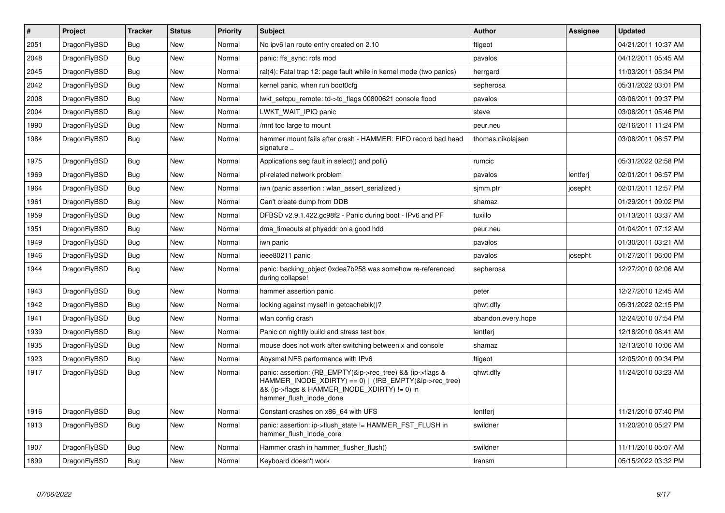| $\vert$ # | Project      | <b>Tracker</b> | <b>Status</b> | <b>Priority</b> | <b>Subject</b>                                                                                                                                                                                    | <b>Author</b>      | Assignee | <b>Updated</b>      |
|-----------|--------------|----------------|---------------|-----------------|---------------------------------------------------------------------------------------------------------------------------------------------------------------------------------------------------|--------------------|----------|---------------------|
| 2051      | DragonFlyBSD | <b>Bug</b>     | <b>New</b>    | Normal          | No ipv6 lan route entry created on 2.10                                                                                                                                                           | ftigeot            |          | 04/21/2011 10:37 AM |
| 2048      | DragonFlyBSD | <b>Bug</b>     | <b>New</b>    | Normal          | panic: ffs sync: rofs mod                                                                                                                                                                         | pavalos            |          | 04/12/2011 05:45 AM |
| 2045      | DragonFlyBSD | Bug            | <b>New</b>    | Normal          | ral(4): Fatal trap 12: page fault while in kernel mode (two panics)                                                                                                                               | herrgard           |          | 11/03/2011 05:34 PM |
| 2042      | DragonFlyBSD | <b>Bug</b>     | <b>New</b>    | Normal          | kernel panic, when run boot0cfg                                                                                                                                                                   | sepherosa          |          | 05/31/2022 03:01 PM |
| 2008      | DragonFlyBSD | Bug            | <b>New</b>    | Normal          | lwkt setcpu remote: td->td flags 00800621 console flood                                                                                                                                           | pavalos            |          | 03/06/2011 09:37 PM |
| 2004      | DragonFlyBSD | <b>Bug</b>     | <b>New</b>    | Normal          | LWKT WAIT IPIQ panic                                                                                                                                                                              | steve              |          | 03/08/2011 05:46 PM |
| 1990      | DragonFlyBSD | Bug            | <b>New</b>    | Normal          | /mnt too large to mount                                                                                                                                                                           | peur.neu           |          | 02/16/2011 11:24 PM |
| 1984      | DragonFlyBSD | <b>Bug</b>     | <b>New</b>    | Normal          | hammer mount fails after crash - HAMMER: FIFO record bad head<br>signature                                                                                                                        | thomas.nikolajsen  |          | 03/08/2011 06:57 PM |
| 1975      | DragonFlyBSD | Bug            | New           | Normal          | Applications seg fault in select() and poll()                                                                                                                                                     | rumcic             |          | 05/31/2022 02:58 PM |
| 1969      | DragonFlyBSD | Bug            | <b>New</b>    | Normal          | pf-related network problem                                                                                                                                                                        | pavalos            | lentferj | 02/01/2011 06:57 PM |
| 1964      | DragonFlyBSD | Bug            | New           | Normal          | iwn (panic assertion : wlan assert serialized)                                                                                                                                                    | sjmm.ptr           | josepht  | 02/01/2011 12:57 PM |
| 1961      | DragonFlyBSD | <b>Bug</b>     | <b>New</b>    | Normal          | Can't create dump from DDB                                                                                                                                                                        | shamaz             |          | 01/29/2011 09:02 PM |
| 1959      | DragonFlyBSD | Bug            | <b>New</b>    | Normal          | DFBSD v2.9.1.422.gc98f2 - Panic during boot - IPv6 and PF                                                                                                                                         | tuxillo            |          | 01/13/2011 03:37 AM |
| 1951      | DragonFlyBSD | <b>Bug</b>     | <b>New</b>    | Normal          | dma_timeouts at phyaddr on a good hdd                                                                                                                                                             | peur.neu           |          | 01/04/2011 07:12 AM |
| 1949      | DragonFlyBSD | <b>Bug</b>     | New           | Normal          | iwn panic                                                                                                                                                                                         | pavalos            |          | 01/30/2011 03:21 AM |
| 1946      | DragonFlyBSD | Bug            | <b>New</b>    | Normal          | ieee80211 panic                                                                                                                                                                                   | pavalos            | josepht  | 01/27/2011 06:00 PM |
| 1944      | DragonFlyBSD | <b>Bug</b>     | <b>New</b>    | Normal          | panic: backing object 0xdea7b258 was somehow re-referenced<br>during collapse!                                                                                                                    | sepherosa          |          | 12/27/2010 02:06 AM |
| 1943      | DragonFlyBSD | <b>Bug</b>     | <b>New</b>    | Normal          | hammer assertion panic                                                                                                                                                                            | peter              |          | 12/27/2010 12:45 AM |
| 1942      | DragonFlyBSD | <b>Bug</b>     | New           | Normal          | locking against myself in getcacheblk()?                                                                                                                                                          | qhwt.dfly          |          | 05/31/2022 02:15 PM |
| 1941      | DragonFlyBSD | <b>Bug</b>     | <b>New</b>    | Normal          | wlan config crash                                                                                                                                                                                 | abandon.every.hope |          | 12/24/2010 07:54 PM |
| 1939      | DragonFlyBSD | Bug            | <b>New</b>    | Normal          | Panic on nightly build and stress test box                                                                                                                                                        | lentferj           |          | 12/18/2010 08:41 AM |
| 1935      | DragonFlyBSD | Bug            | <b>New</b>    | Normal          | mouse does not work after switching between x and console                                                                                                                                         | shamaz             |          | 12/13/2010 10:06 AM |
| 1923      | DragonFlyBSD | <b>Bug</b>     | <b>New</b>    | Normal          | Abysmal NFS performance with IPv6                                                                                                                                                                 | ftigeot            |          | 12/05/2010 09:34 PM |
| 1917      | DragonFlyBSD | Bug            | <b>New</b>    | Normal          | panic: assertion: (RB EMPTY(&ip->rec_tree) && (ip->flags &<br>HAMMER INODE XDIRTY) == 0)    (!RB EMPTY(&ip->rec tree)<br>&& (ip->flags & HAMMER INODE XDIRTY) != 0) in<br>hammer_flush_inode_done | qhwt.dfly          |          | 11/24/2010 03:23 AM |
| 1916      | DragonFlyBSD | <b>Bug</b>     | <b>New</b>    | Normal          | Constant crashes on x86_64 with UFS                                                                                                                                                               | lentferj           |          | 11/21/2010 07:40 PM |
| 1913      | DragonFlyBSD | <b>Bug</b>     | <b>New</b>    | Normal          | panic: assertion: ip->flush_state != HAMMER_FST_FLUSH in<br>hammer_flush_inode_core                                                                                                               | swildner           |          | 11/20/2010 05:27 PM |
| 1907      | DragonFlyBSD | Bug            | <b>New</b>    | Normal          | Hammer crash in hammer flusher flush()                                                                                                                                                            | swildner           |          | 11/11/2010 05:07 AM |
| 1899      | DragonFlyBSD | Bug            | New           | Normal          | Keyboard doesn't work                                                                                                                                                                             | fransm             |          | 05/15/2022 03:32 PM |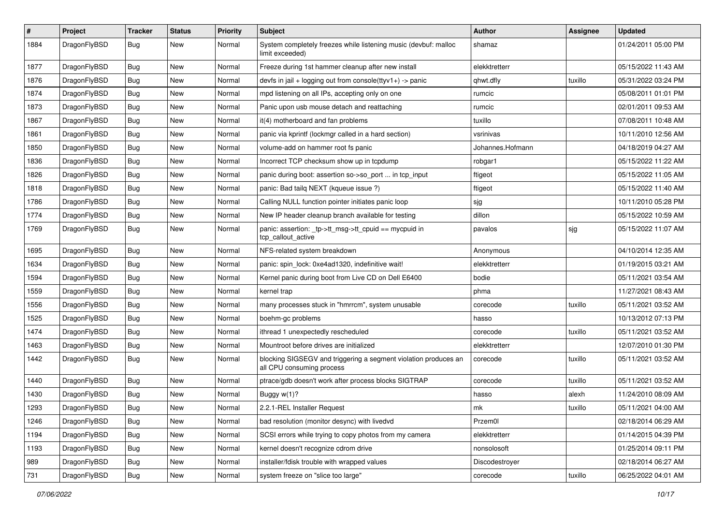| $\vert$ # | Project      | <b>Tracker</b> | <b>Status</b> | <b>Priority</b> | Subject                                                                                      | Author           | Assignee | <b>Updated</b>      |
|-----------|--------------|----------------|---------------|-----------------|----------------------------------------------------------------------------------------------|------------------|----------|---------------------|
| 1884      | DragonFlyBSD | Bug            | New           | Normal          | System completely freezes while listening music (devbuf: malloc<br>limit exceeded)           | shamaz           |          | 01/24/2011 05:00 PM |
| 1877      | DragonFlyBSD | <b>Bug</b>     | <b>New</b>    | Normal          | Freeze during 1st hammer cleanup after new install                                           | elekktretterr    |          | 05/15/2022 11:43 AM |
| 1876      | DragonFlyBSD | Bug            | New           | Normal          | devfs in jail + logging out from console(ttyv1+) -> panic                                    | qhwt.dfly        | tuxillo  | 05/31/2022 03:24 PM |
| 1874      | DragonFlyBSD | <b>Bug</b>     | <b>New</b>    | Normal          | mpd listening on all IPs, accepting only on one                                              | rumcic           |          | 05/08/2011 01:01 PM |
| 1873      | DragonFlyBSD | <b>Bug</b>     | New           | Normal          | Panic upon usb mouse detach and reattaching                                                  | rumcic           |          | 02/01/2011 09:53 AM |
| 1867      | DragonFlyBSD | Bug            | <b>New</b>    | Normal          | it(4) motherboard and fan problems                                                           | tuxillo          |          | 07/08/2011 10:48 AM |
| 1861      | DragonFlyBSD | <b>Bug</b>     | New           | Normal          | panic via kprintf (lockmgr called in a hard section)                                         | vsrinivas        |          | 10/11/2010 12:56 AM |
| 1850      | DragonFlyBSD | Bug            | New           | Normal          | volume-add on hammer root fs panic                                                           | Johannes.Hofmann |          | 04/18/2019 04:27 AM |
| 1836      | DragonFlyBSD | <b>Bug</b>     | <b>New</b>    | Normal          | Incorrect TCP checksum show up in tcpdump                                                    | robgar1          |          | 05/15/2022 11:22 AM |
| 1826      | DragonFlyBSD | Bug            | New           | Normal          | panic during boot: assertion so->so_port  in tcp_input                                       | ftigeot          |          | 05/15/2022 11:05 AM |
| 1818      | DragonFlyBSD | Bug            | <b>New</b>    | Normal          | panic: Bad tailg NEXT (kqueue issue ?)                                                       | ftigeot          |          | 05/15/2022 11:40 AM |
| 1786      | DragonFlyBSD | <b>Bug</b>     | New           | Normal          | Calling NULL function pointer initiates panic loop                                           | sjg              |          | 10/11/2010 05:28 PM |
| 1774      | DragonFlyBSD | Bug            | New           | Normal          | New IP header cleanup branch available for testing                                           | dillon           |          | 05/15/2022 10:59 AM |
| 1769      | DragonFlyBSD | Bug            | New           | Normal          | panic: assertion: _tp->tt_msg->tt_cpuid == mycpuid in<br>tcp callout active                  | pavalos          | sjg      | 05/15/2022 11:07 AM |
| 1695      | DragonFlyBSD | Bug            | <b>New</b>    | Normal          | NFS-related system breakdown                                                                 | Anonymous        |          | 04/10/2014 12:35 AM |
| 1634      | DragonFlyBSD | Bug            | <b>New</b>    | Normal          | panic: spin lock: 0xe4ad1320, indefinitive wait!                                             | elekktretterr    |          | 01/19/2015 03:21 AM |
| 1594      | DragonFlyBSD | <b>Bug</b>     | New           | Normal          | Kernel panic during boot from Live CD on Dell E6400                                          | bodie            |          | 05/11/2021 03:54 AM |
| 1559      | DragonFlyBSD | Bug            | <b>New</b>    | Normal          | kernel trap                                                                                  | phma             |          | 11/27/2021 08:43 AM |
| 1556      | DragonFlyBSD | Bug            | New           | Normal          | many processes stuck in "hmrrcm", system unusable                                            | corecode         | tuxillo  | 05/11/2021 03:52 AM |
| 1525      | DragonFlyBSD | <b>Bug</b>     | New           | Normal          | boehm-gc problems                                                                            | hasso            |          | 10/13/2012 07:13 PM |
| 1474      | DragonFlyBSD | <b>Bug</b>     | New           | Normal          | ithread 1 unexpectedly rescheduled                                                           | corecode         | tuxillo  | 05/11/2021 03:52 AM |
| 1463      | DragonFlyBSD | <b>Bug</b>     | New           | Normal          | Mountroot before drives are initialized                                                      | elekktretterr    |          | 12/07/2010 01:30 PM |
| 1442      | DragonFlyBSD | Bug            | New           | Normal          | blocking SIGSEGV and triggering a segment violation produces an<br>all CPU consuming process | corecode         | tuxillo  | 05/11/2021 03:52 AM |
| 1440      | DragonFlyBSD | <b>Bug</b>     | New           | Normal          | ptrace/gdb doesn't work after process blocks SIGTRAP                                         | corecode         | tuxillo  | 05/11/2021 03:52 AM |
| 1430      | DragonFlyBSD | Bug            | New           | Normal          | Buggy w(1)?                                                                                  | hasso            | alexh    | 11/24/2010 08:09 AM |
| 1293      | DragonFlyBSD | Bug            | New           | Normal          | 2.2.1-REL Installer Request                                                                  | mk               | tuxillo  | 05/11/2021 04:00 AM |
| 1246      | DragonFlyBSD | <b>Bug</b>     | New           | Normal          | bad resolution (monitor desync) with livedvd                                                 | Przem0l          |          | 02/18/2014 06:29 AM |
| 1194      | DragonFlyBSD | Bug            | New           | Normal          | SCSI errors while trying to copy photos from my camera                                       | elekktretterr    |          | 01/14/2015 04:39 PM |
| 1193      | DragonFlyBSD | Bug            | New           | Normal          | kernel doesn't recognize cdrom drive                                                         | nonsolosoft      |          | 01/25/2014 09:11 PM |
| 989       | DragonFlyBSD | Bug            | New           | Normal          | installer/fdisk trouble with wrapped values                                                  | Discodestroyer   |          | 02/18/2014 06:27 AM |
| 731       | DragonFlyBSD | Bug            | New           | Normal          | system freeze on "slice too large"                                                           | corecode         | tuxillo  | 06/25/2022 04:01 AM |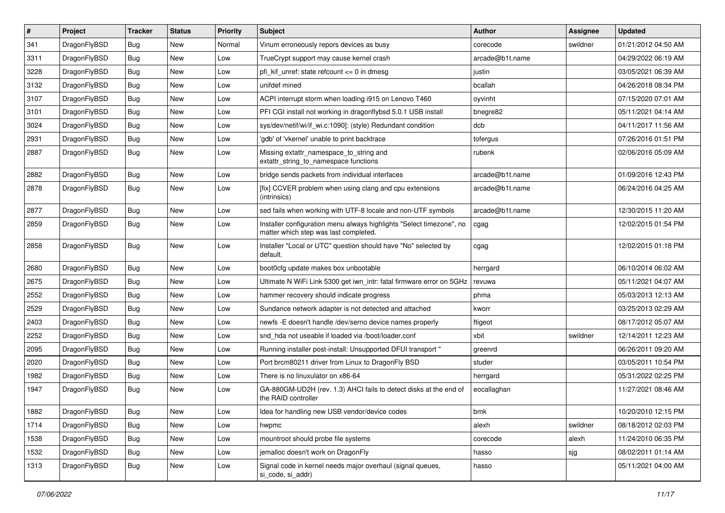| $\sharp$ | Project      | <b>Tracker</b> | <b>Status</b> | <b>Priority</b> | Subject                                                                                                       | Author          | <b>Assignee</b> | <b>Updated</b>      |
|----------|--------------|----------------|---------------|-----------------|---------------------------------------------------------------------------------------------------------------|-----------------|-----------------|---------------------|
| 341      | DragonFlyBSD | <b>Bug</b>     | New           | Normal          | Vinum erroneously repors devices as busy                                                                      | corecode        | swildner        | 01/21/2012 04:50 AM |
| 3311     | DragonFlyBSD | Bug            | New           | Low             | TrueCrypt support may cause kernel crash                                                                      | arcade@b1t.name |                 | 04/29/2022 06:19 AM |
| 3228     | DragonFlyBSD | <b>Bug</b>     | New           | Low             | pfi kif unref: state refcount $\leq$ 0 in dmesg                                                               | justin          |                 | 03/05/2021 06:39 AM |
| 3132     | DragonFlyBSD | <b>Bug</b>     | New           | Low             | unifdef mined                                                                                                 | bcallah         |                 | 04/26/2018 08:34 PM |
| 3107     | DragonFlyBSD | Bug            | <b>New</b>    | Low             | ACPI interrupt storm when loading i915 on Lenovo T460                                                         | oyvinht         |                 | 07/15/2020 07:01 AM |
| 3101     | DragonFlyBSD | <b>Bug</b>     | <b>New</b>    | Low             | PFI CGI install not working in dragonflybsd 5.0.1 USB install                                                 | bnegre82        |                 | 05/11/2021 04:14 AM |
| 3024     | DragonFlyBSD | <b>Bug</b>     | New           | Low             | sys/dev/netif/wi/if_wi.c:1090]: (style) Redundant condition                                                   | dcb             |                 | 04/11/2017 11:56 AM |
| 2931     | DragonFlyBSD | <b>Bug</b>     | New           | Low             | 'gdb' of 'vkernel' unable to print backtrace                                                                  | tofergus        |                 | 07/26/2016 01:51 PM |
| 2887     | DragonFlyBSD | <b>Bug</b>     | New           | Low             | Missing extattr_namespace_to_string and<br>extattr_string_to_namespace functions                              | rubenk          |                 | 02/06/2016 05:09 AM |
| 2882     | DragonFlyBSD | Bug            | <b>New</b>    | Low             | bridge sends packets from individual interfaces                                                               | arcade@b1t.name |                 | 01/09/2016 12:43 PM |
| 2878     | DragonFlyBSD | <b>Bug</b>     | <b>New</b>    | Low             | [fix] CCVER problem when using clang and cpu extensions<br>(intrinsics)                                       | arcade@b1t.name |                 | 06/24/2016 04:25 AM |
| 2877     | DragonFlyBSD | Bug            | New           | Low             | sed fails when working with UTF-8 locale and non-UTF symbols                                                  | arcade@b1t.name |                 | 12/30/2015 11:20 AM |
| 2859     | DragonFlyBSD | <b>Bug</b>     | New           | Low             | Installer configuration menu always highlights "Select timezone", no<br>matter which step was last completed. | cgag            |                 | 12/02/2015 01:54 PM |
| 2858     | DragonFlyBSD | Bug            | New           | Low             | Installer "Local or UTC" question should have "No" selected by<br>default.                                    | cgag            |                 | 12/02/2015 01:18 PM |
| 2680     | DragonFlyBSD | <b>Bug</b>     | <b>New</b>    | Low             | boot0cfg update makes box unbootable                                                                          | herrgard        |                 | 06/10/2014 06:02 AM |
| 2675     | DragonFlyBSD | <b>Bug</b>     | New           | Low             | Ultimate N WiFi Link 5300 get iwn intr: fatal firmware error on 5GHz                                          | revuwa          |                 | 05/11/2021 04:07 AM |
| 2552     | DragonFlyBSD | Bug            | <b>New</b>    | Low             | hammer recovery should indicate progress                                                                      | phma            |                 | 05/03/2013 12:13 AM |
| 2529     | DragonFlyBSD | <b>Bug</b>     | <b>New</b>    | Low             | Sundance network adapter is not detected and attached                                                         | kworr           |                 | 03/25/2013 02:29 AM |
| 2403     | DragonFlyBSD | <b>Bug</b>     | New           | Low             | newfs -E doesn't handle /dev/serno device names properly                                                      | ftigeot         |                 | 08/17/2012 05:07 AM |
| 2252     | DragonFlyBSD | <b>Bug</b>     | <b>New</b>    | Low             | snd_hda not useable if loaded via /boot/loader.conf                                                           | xbit            | swildner        | 12/14/2011 12:23 AM |
| 2095     | DragonFlyBSD | <b>Bug</b>     | New           | Low             | Running installer post-install: Unsupported DFUI transport "                                                  | greenrd         |                 | 06/26/2011 09:20 AM |
| 2020     | DragonFlyBSD | Bug            | <b>New</b>    | Low             | Port brcm80211 driver from Linux to DragonFly BSD                                                             | studer          |                 | 03/05/2011 10:54 PM |
| 1982     | DragonFlyBSD | <b>Bug</b>     | New           | Low             | There is no linuxulator on x86-64                                                                             | herrgard        |                 | 05/31/2022 02:25 PM |
| 1947     | DragonFlyBSD | <b>Bug</b>     | <b>New</b>    | Low             | GA-880GM-UD2H (rev. 1.3) AHCI fails to detect disks at the end of<br>the RAID controller                      | eocallaghan     |                 | 11/27/2021 08:46 AM |
| 1882     | DragonFlyBSD | <b>Bug</b>     | <b>New</b>    | Low             | Idea for handling new USB vendor/device codes                                                                 | bmk             |                 | 10/20/2010 12:15 PM |
| 1714     | DragonFlyBSD | <b>Bug</b>     | New           | Low             | hwpmc                                                                                                         | alexh           | swildner        | 08/18/2012 02:03 PM |
| 1538     | DragonFlyBSD | <b>Bug</b>     | New           | Low             | mountroot should probe file systems                                                                           | corecode        | alexh           | 11/24/2010 06:35 PM |
| 1532     | DragonFlyBSD | <b>Bug</b>     | New           | Low             | jemalloc doesn't work on DragonFly                                                                            | hasso           | sjg             | 08/02/2011 01:14 AM |
| 1313     | DragonFlyBSD | <b>Bug</b>     | New           | Low             | Signal code in kernel needs major overhaul (signal queues,<br>si_code, si_addr)                               | hasso           |                 | 05/11/2021 04:00 AM |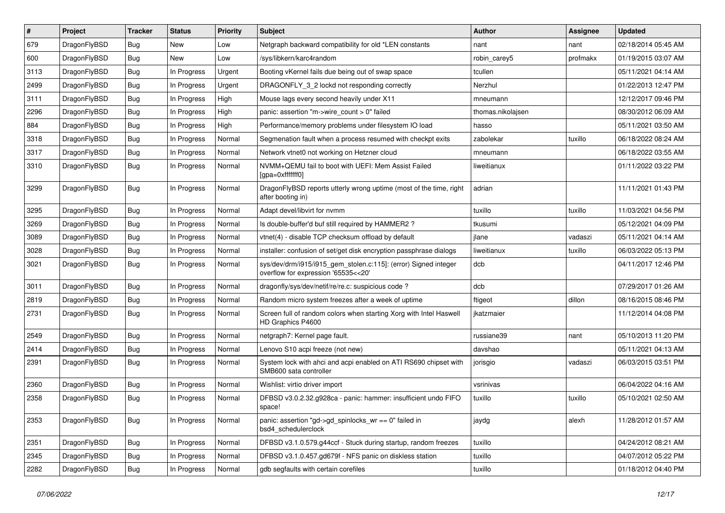| #    | Project      | <b>Tracker</b> | <b>Status</b> | <b>Priority</b> | Subject                                                                                                | Author            | Assignee | <b>Updated</b>      |
|------|--------------|----------------|---------------|-----------------|--------------------------------------------------------------------------------------------------------|-------------------|----------|---------------------|
| 679  | DragonFlyBSD | <b>Bug</b>     | New           | Low             | Netgraph backward compatibility for old *LEN constants                                                 | nant              | nant     | 02/18/2014 05:45 AM |
| 600  | DragonFlyBSD | Bug            | New           | Low             | /sys/libkern/karc4random                                                                               | robin carey5      | profmakx | 01/19/2015 03:07 AM |
| 3113 | DragonFlyBSD | <b>Bug</b>     | In Progress   | Urgent          | Booting vKernel fails due being out of swap space                                                      | tcullen           |          | 05/11/2021 04:14 AM |
| 2499 | DragonFlyBSD | <b>Bug</b>     | In Progress   | Urgent          | DRAGONFLY 3 2 lockd not responding correctly                                                           | Nerzhul           |          | 01/22/2013 12:47 PM |
| 3111 | DragonFlyBSD | <b>Bug</b>     | In Progress   | High            | Mouse lags every second heavily under X11                                                              | mneumann          |          | 12/12/2017 09:46 PM |
| 2296 | DragonFlyBSD | <b>Bug</b>     | In Progress   | High            | panic: assertion "m->wire count > 0" failed                                                            | thomas.nikolajsen |          | 08/30/2012 06:09 AM |
| 884  | DragonFlyBSD | <b>Bug</b>     | In Progress   | High            | Performance/memory problems under filesystem IO load                                                   | hasso             |          | 05/11/2021 03:50 AM |
| 3318 | DragonFlyBSD | <b>Bug</b>     | In Progress   | Normal          | Segmenation fault when a process resumed with checkpt exits                                            | zabolekar         | tuxillo  | 06/18/2022 08:24 AM |
| 3317 | DragonFlyBSD | <b>Bug</b>     | In Progress   | Normal          | Network vtnet0 not working on Hetzner cloud                                                            | mneumann          |          | 06/18/2022 03:55 AM |
| 3310 | DragonFlyBSD | <b>Bug</b>     | In Progress   | Normal          | NVMM+QEMU fail to boot with UEFI: Mem Assist Failed<br>[gpa=0xfffffff0]                                | liweitianux       |          | 01/11/2022 03:22 PM |
| 3299 | DragonFlyBSD | <b>Bug</b>     | In Progress   | Normal          | DragonFlyBSD reports utterly wrong uptime (most of the time, right<br>after booting in)                | adrian            |          | 11/11/2021 01:43 PM |
| 3295 | DragonFlyBSD | <b>Bug</b>     | In Progress   | Normal          | Adapt devel/libvirt for nymm                                                                           | tuxillo           | tuxillo  | 11/03/2021 04:56 PM |
| 3269 | DragonFlyBSD | <b>Bug</b>     | In Progress   | Normal          | Is double-buffer'd buf still required by HAMMER2 ?                                                     | tkusumi           |          | 05/12/2021 04:09 PM |
| 3089 | DragonFlyBSD | <b>Bug</b>     | In Progress   | Normal          | vtnet(4) - disable TCP checksum offload by default                                                     | jlane             | vadaszi  | 05/11/2021 04:14 AM |
| 3028 | DragonFlyBSD | <b>Bug</b>     | In Progress   | Normal          | installer: confusion of set/get disk encryption passphrase dialogs                                     | liweitianux       | tuxillo  | 06/03/2022 05:13 PM |
| 3021 | DragonFlyBSD | <b>Bug</b>     | In Progress   | Normal          | sys/dev/drm/i915/i915_gem_stolen.c:115]: (error) Signed integer<br>overflow for expression '65535<<20' | dcb               |          | 04/11/2017 12:46 PM |
| 3011 | DragonFlyBSD | <b>Bug</b>     | In Progress   | Normal          | dragonfly/sys/dev/netif/re/re.c: suspicious code?                                                      | dcb               |          | 07/29/2017 01:26 AM |
| 2819 | DragonFlyBSD | <b>Bug</b>     | In Progress   | Normal          | Random micro system freezes after a week of uptime                                                     | ftigeot           | dillon   | 08/16/2015 08:46 PM |
| 2731 | DragonFlyBSD | <b>Bug</b>     | In Progress   | Normal          | Screen full of random colors when starting Xorg with Intel Haswell<br>HD Graphics P4600                | jkatzmaier        |          | 11/12/2014 04:08 PM |
| 2549 | DragonFlyBSD | <b>Bug</b>     | In Progress   | Normal          | netgraph7: Kernel page fault.                                                                          | russiane39        | nant     | 05/10/2013 11:20 PM |
| 2414 | DragonFlyBSD | <b>Bug</b>     | In Progress   | Normal          | Lenovo S10 acpi freeze (not new)                                                                       | davshao           |          | 05/11/2021 04:13 AM |
| 2391 | DragonFlyBSD | <b>Bug</b>     | In Progress   | Normal          | System lock with ahci and acpi enabled on ATI RS690 chipset with<br>SMB600 sata controller             | jorisgio          | vadaszi  | 06/03/2015 03:51 PM |
| 2360 | DragonFlyBSD | <b>Bug</b>     | In Progress   | Normal          | Wishlist: virtio driver import                                                                         | vsrinivas         |          | 06/04/2022 04:16 AM |
| 2358 | DragonFlyBSD | <b>Bug</b>     | In Progress   | Normal          | DFBSD v3.0.2.32.g928ca - panic: hammer: insufficient undo FIFO<br>space!                               | tuxillo           | tuxillo  | 05/10/2021 02:50 AM |
| 2353 | DragonFlyBSD | <b>Bug</b>     | In Progress   | Normal          | panic: assertion "gd->gd_spinlocks_wr == 0" failed in<br>bsd4_schedulerclock                           | jaydg             | alexh    | 11/28/2012 01:57 AM |
| 2351 | DragonFlyBSD | <b>Bug</b>     | In Progress   | Normal          | DFBSD v3.1.0.579.g44ccf - Stuck during startup, random freezes                                         | tuxillo           |          | 04/24/2012 08:21 AM |
| 2345 | DragonFlyBSD | <b>Bug</b>     | In Progress   | Normal          | DFBSD v3.1.0.457.gd679f - NFS panic on diskless station                                                | tuxillo           |          | 04/07/2012 05:22 PM |
| 2282 | DragonFlyBSD | <b>Bug</b>     | In Progress   | Normal          | gdb segfaults with certain corefiles                                                                   | tuxillo           |          | 01/18/2012 04:40 PM |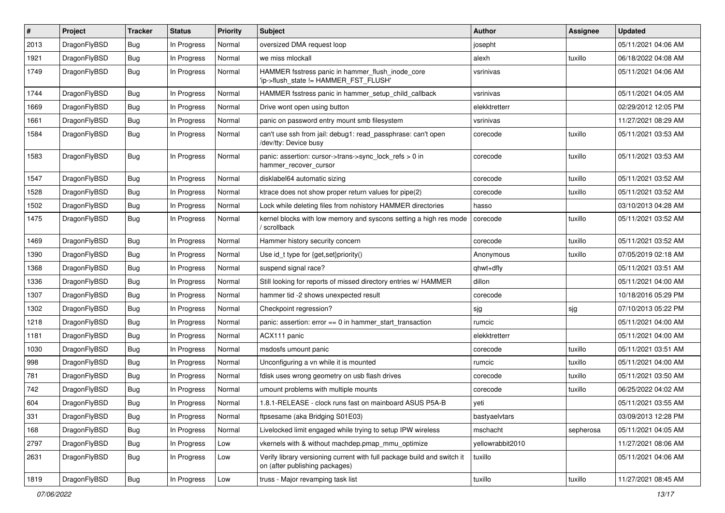| #    | Project      | <b>Tracker</b> | <b>Status</b> | <b>Priority</b> | <b>Subject</b>                                                                                            | <b>Author</b>    | <b>Assignee</b> | <b>Updated</b>      |
|------|--------------|----------------|---------------|-----------------|-----------------------------------------------------------------------------------------------------------|------------------|-----------------|---------------------|
| 2013 | DragonFlyBSD | Bug            | In Progress   | Normal          | oversized DMA request loop                                                                                | josepht          |                 | 05/11/2021 04:06 AM |
| 1921 | DragonFlyBSD | <b>Bug</b>     | In Progress   | Normal          | we miss mlockall                                                                                          | alexh            | tuxillo         | 06/18/2022 04:08 AM |
| 1749 | DragonFlyBSD | <b>Bug</b>     | In Progress   | Normal          | HAMMER fsstress panic in hammer_flush_inode_core<br>'ip->flush_state != HAMMER_FST_FLUSH'                 | vsrinivas        |                 | 05/11/2021 04:06 AM |
| 1744 | DragonFlyBSD | Bug            | In Progress   | Normal          | HAMMER fsstress panic in hammer_setup_child_callback                                                      | vsrinivas        |                 | 05/11/2021 04:05 AM |
| 1669 | DragonFlyBSD | <b>Bug</b>     | In Progress   | Normal          | Drive wont open using button                                                                              | elekktretterr    |                 | 02/29/2012 12:05 PM |
| 1661 | DragonFlyBSD | Bug            | In Progress   | Normal          | panic on password entry mount smb filesystem                                                              | vsrinivas        |                 | 11/27/2021 08:29 AM |
| 1584 | DragonFlyBSD | <b>Bug</b>     | In Progress   | Normal          | can't use ssh from jail: debug1: read_passphrase: can't open<br>/dev/tty: Device busy                     | corecode         | tuxillo         | 05/11/2021 03:53 AM |
| 1583 | DragonFlyBSD | Bug            | In Progress   | Normal          | panic: assertion: cursor->trans->sync_lock_refs > 0 in<br>hammer_recover_cursor                           | corecode         | tuxillo         | 05/11/2021 03:53 AM |
| 1547 | DragonFlyBSD | <b>Bug</b>     | In Progress   | Normal          | disklabel64 automatic sizing                                                                              | corecode         | tuxillo         | 05/11/2021 03:52 AM |
| 1528 | DragonFlyBSD | <b>Bug</b>     | In Progress   | Normal          | ktrace does not show proper return values for pipe(2)                                                     | corecode         | tuxillo         | 05/11/2021 03:52 AM |
| 1502 | DragonFlyBSD | <b>Bug</b>     | In Progress   | Normal          | Lock while deleting files from nohistory HAMMER directories                                               | hasso            |                 | 03/10/2013 04:28 AM |
| 1475 | DragonFlyBSD | Bug            | In Progress   | Normal          | kernel blocks with low memory and syscons setting a high res mode<br>/ scrollback                         | corecode         | tuxillo         | 05/11/2021 03:52 AM |
| 1469 | DragonFlyBSD | Bug            | In Progress   | Normal          | Hammer history security concern                                                                           | corecode         | tuxillo         | 05/11/2021 03:52 AM |
| 1390 | DragonFlyBSD | <b>Bug</b>     | In Progress   | Normal          | Use id_t type for {get,set}priority()                                                                     | Anonymous        | tuxillo         | 07/05/2019 02:18 AM |
| 1368 | DragonFlyBSD | <b>Bug</b>     | In Progress   | Normal          | suspend signal race?                                                                                      | qhwt+dfly        |                 | 05/11/2021 03:51 AM |
| 1336 | DragonFlyBSD | <b>Bug</b>     | In Progress   | Normal          | Still looking for reports of missed directory entries w/ HAMMER                                           | dillon           |                 | 05/11/2021 04:00 AM |
| 1307 | DragonFlyBSD | Bug            | In Progress   | Normal          | hammer tid -2 shows unexpected result                                                                     | corecode         |                 | 10/18/2016 05:29 PM |
| 1302 | DragonFlyBSD | <b>Bug</b>     | In Progress   | Normal          | Checkpoint regression?                                                                                    | sjg              | sjg             | 07/10/2013 05:22 PM |
| 1218 | DragonFlyBSD | Bug            | In Progress   | Normal          | panic: assertion: $error == 0$ in hammer start transaction                                                | rumcic           |                 | 05/11/2021 04:00 AM |
| 1181 | DragonFlyBSD | <b>Bug</b>     | In Progress   | Normal          | ACX111 panic                                                                                              | elekktretterr    |                 | 05/11/2021 04:00 AM |
| 1030 | DragonFlyBSD | <b>Bug</b>     | In Progress   | Normal          | msdosfs umount panic                                                                                      | corecode         | tuxillo         | 05/11/2021 03:51 AM |
| 998  | DragonFlyBSD | <b>Bug</b>     | In Progress   | Normal          | Unconfiguring a vn while it is mounted                                                                    | rumcic           | tuxillo         | 05/11/2021 04:00 AM |
| 781  | DragonFlyBSD | <b>Bug</b>     | In Progress   | Normal          | fdisk uses wrong geometry on usb flash drives                                                             | corecode         | tuxillo         | 05/11/2021 03:50 AM |
| 742  | DragonFlyBSD | Bug            | In Progress   | Normal          | umount problems with multiple mounts                                                                      | corecode         | tuxillo         | 06/25/2022 04:02 AM |
| 604  | DragonFlyBSD | Bug            | In Progress   | Normal          | 1.8.1-RELEASE - clock runs fast on mainboard ASUS P5A-B                                                   | yeti             |                 | 05/11/2021 03:55 AM |
| 331  | DragonFlyBSD | Bug            | In Progress   | Normal          | ftpsesame (aka Bridging S01E03)                                                                           | bastyaelvtars    |                 | 03/09/2013 12:28 PM |
| 168  | DragonFlyBSD | <b>Bug</b>     | In Progress   | Normal          | Livelocked limit engaged while trying to setup IPW wireless                                               | mschacht         | sepherosa       | 05/11/2021 04:05 AM |
| 2797 | DragonFlyBSD | <b>Bug</b>     | In Progress   | Low             | vkernels with & without machdep.pmap_mmu_optimize                                                         | yellowrabbit2010 |                 | 11/27/2021 08:06 AM |
| 2631 | DragonFlyBSD | <b>Bug</b>     | In Progress   | Low             | Verify library versioning current with full package build and switch it<br>on (after publishing packages) | tuxillo          |                 | 05/11/2021 04:06 AM |
| 1819 | DragonFlyBSD | <b>Bug</b>     | In Progress   | Low             | truss - Major revamping task list                                                                         | tuxillo          | tuxillo         | 11/27/2021 08:45 AM |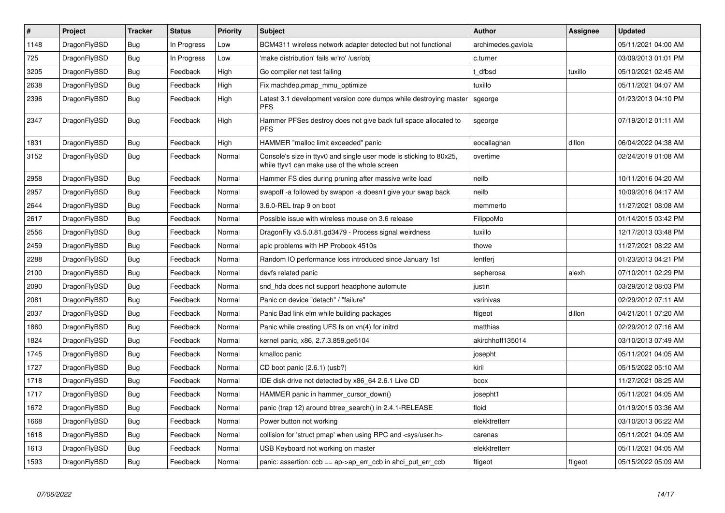| $\vert$ # | Project      | <b>Tracker</b> | <b>Status</b> | <b>Priority</b> | <b>Subject</b>                                                                                                     | <b>Author</b>      | <b>Assignee</b> | <b>Updated</b>      |
|-----------|--------------|----------------|---------------|-----------------|--------------------------------------------------------------------------------------------------------------------|--------------------|-----------------|---------------------|
| 1148      | DragonFlyBSD | <b>Bug</b>     | In Progress   | Low             | BCM4311 wireless network adapter detected but not functional                                                       | archimedes.gaviola |                 | 05/11/2021 04:00 AM |
| 725       | DragonFlyBSD | Bug            | In Progress   | Low             | 'make distribution' fails w/'ro' /usr/obj                                                                          | c.turner           |                 | 03/09/2013 01:01 PM |
| 3205      | DragonFlyBSD | <b>Bug</b>     | Feedback      | High            | Go compiler net test failing                                                                                       | dfbsd              | tuxillo         | 05/10/2021 02:45 AM |
| 2638      | DragonFlyBSD | <b>Bug</b>     | Feedback      | High            | Fix machdep.pmap mmu optimize                                                                                      | tuxillo            |                 | 05/11/2021 04:07 AM |
| 2396      | DragonFlyBSD | Bug            | Feedback      | High            | Latest 3.1 development version core dumps while destroying master<br><b>PFS</b>                                    | sgeorge            |                 | 01/23/2013 04:10 PM |
| 2347      | DragonFlyBSD | <b>Bug</b>     | Feedback      | High            | Hammer PFSes destroy does not give back full space allocated to<br><b>PFS</b>                                      | sgeorge            |                 | 07/19/2012 01:11 AM |
| 1831      | DragonFlyBSD | <b>Bug</b>     | Feedback      | High            | HAMMER "malloc limit exceeded" panic                                                                               | eocallaghan        | dillon          | 06/04/2022 04:38 AM |
| 3152      | DragonFlyBSD | <b>Bug</b>     | Feedback      | Normal          | Console's size in ttyv0 and single user mode is sticking to 80x25,<br>while ttyv1 can make use of the whole screen | overtime           |                 | 02/24/2019 01:08 AM |
| 2958      | DragonFlyBSD | <b>Bug</b>     | Feedback      | Normal          | Hammer FS dies during pruning after massive write load                                                             | neilb              |                 | 10/11/2016 04:20 AM |
| 2957      | DragonFlyBSD | Bug            | Feedback      | Normal          | swapoff -a followed by swapon -a doesn't give your swap back                                                       | neilb              |                 | 10/09/2016 04:17 AM |
| 2644      | DragonFlyBSD | Bug            | Feedback      | Normal          | 3.6.0-REL trap 9 on boot                                                                                           | memmerto           |                 | 11/27/2021 08:08 AM |
| 2617      | DragonFlyBSD | <b>Bug</b>     | Feedback      | Normal          | Possible issue with wireless mouse on 3.6 release                                                                  | FilippoMo          |                 | 01/14/2015 03:42 PM |
| 2556      | DragonFlyBSD | <b>Bug</b>     | Feedback      | Normal          | DragonFly v3.5.0.81.gd3479 - Process signal weirdness                                                              | tuxillo            |                 | 12/17/2013 03:48 PM |
| 2459      | DragonFlyBSD | <b>Bug</b>     | Feedback      | Normal          | apic problems with HP Probook 4510s                                                                                | thowe              |                 | 11/27/2021 08:22 AM |
| 2288      | DragonFlyBSD | Bug            | Feedback      | Normal          | Random IO performance loss introduced since January 1st                                                            | lentferi           |                 | 01/23/2013 04:21 PM |
| 2100      | DragonFlyBSD | <b>Bug</b>     | Feedback      | Normal          | devfs related panic                                                                                                | sepherosa          | alexh           | 07/10/2011 02:29 PM |
| 2090      | DragonFlyBSD | <b>Bug</b>     | Feedback      | Normal          | snd hda does not support headphone automute                                                                        | justin             |                 | 03/29/2012 08:03 PM |
| 2081      | DragonFlyBSD | <b>Bug</b>     | Feedback      | Normal          | Panic on device "detach" / "failure"                                                                               | vsrinivas          |                 | 02/29/2012 07:11 AM |
| 2037      | DragonFlyBSD | <b>Bug</b>     | Feedback      | Normal          | Panic Bad link elm while building packages                                                                         | ftigeot            | dillon          | 04/21/2011 07:20 AM |
| 1860      | DragonFlyBSD | <b>Bug</b>     | Feedback      | Normal          | Panic while creating UFS fs on vn(4) for initrd                                                                    | matthias           |                 | 02/29/2012 07:16 AM |
| 1824      | DragonFlyBSD | Bug            | Feedback      | Normal          | kernel panic, x86, 2.7.3.859.ge5104                                                                                | akirchhoff135014   |                 | 03/10/2013 07:49 AM |
| 1745      | DragonFlyBSD | Bug            | Feedback      | Normal          | kmalloc panic                                                                                                      | josepht            |                 | 05/11/2021 04:05 AM |
| 1727      | DragonFlyBSD | <b>Bug</b>     | Feedback      | Normal          | CD boot panic (2.6.1) (usb?)                                                                                       | kiril              |                 | 05/15/2022 05:10 AM |
| 1718      | DragonFlyBSD | Bug            | Feedback      | Normal          | IDE disk drive not detected by x86 64 2.6.1 Live CD                                                                | bcox               |                 | 11/27/2021 08:25 AM |
| 1717      | DragonFlyBSD | <b>Bug</b>     | Feedback      | Normal          | HAMMER panic in hammer cursor down()                                                                               | josepht1           |                 | 05/11/2021 04:05 AM |
| 1672      | DragonFlyBSD | Bug            | Feedback      | Normal          | panic (trap 12) around btree search() in 2.4.1-RELEASE                                                             | floid              |                 | 01/19/2015 03:36 AM |
| 1668      | DragonFlyBSD | <b>Bug</b>     | Feedback      | Normal          | Power button not working                                                                                           | elekktretterr      |                 | 03/10/2013 06:22 AM |
| 1618      | DragonFlyBSD | Bug            | Feedback      | Normal          | collision for 'struct pmap' when using RPC and <sys user.h=""></sys>                                               | carenas            |                 | 05/11/2021 04:05 AM |
| 1613      | DragonFlyBSD | Bug            | Feedback      | Normal          | USB Keyboard not working on master                                                                                 | elekktretterr      |                 | 05/11/2021 04:05 AM |
| 1593      | DragonFlyBSD | <b>Bug</b>     | Feedback      | Normal          | panic: assertion: ccb == ap->ap_err_ccb in ahci_put_err_ccb                                                        | ftigeot            | ftigeot         | 05/15/2022 05:09 AM |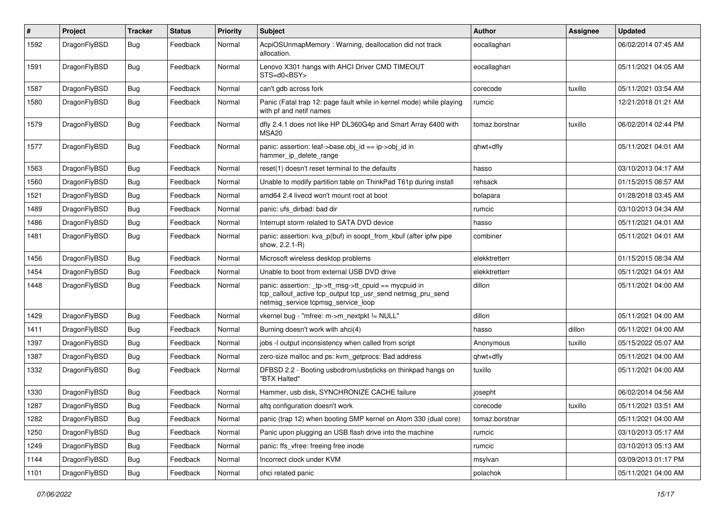| $\#$ | Project      | <b>Tracker</b> | <b>Status</b> | Priority | Subject                                                                                                                                                   | <b>Author</b>  | <b>Assignee</b> | <b>Updated</b>      |
|------|--------------|----------------|---------------|----------|-----------------------------------------------------------------------------------------------------------------------------------------------------------|----------------|-----------------|---------------------|
| 1592 | DragonFlyBSD | Bug            | Feedback      | Normal   | AcpiOSUnmapMemory: Warning, deallocation did not track<br>allocation.                                                                                     | eocallaghan    |                 | 06/02/2014 07:45 AM |
| 1591 | DragonFlyBSD | Bug            | Feedback      | Normal   | Lenovo X301 hangs with AHCI Driver CMD TIMEOUT<br>STS=d0 <bsy></bsy>                                                                                      | eocallaghan    |                 | 05/11/2021 04:05 AM |
| 1587 | DragonFlyBSD | Bug            | Feedback      | Normal   | can't gdb across fork                                                                                                                                     | corecode       | tuxillo         | 05/11/2021 03:54 AM |
| 1580 | DragonFlyBSD | <b>Bug</b>     | Feedback      | Normal   | Panic (Fatal trap 12: page fault while in kernel mode) while playing<br>with pf and netif names                                                           | rumcic         |                 | 12/21/2018 01:21 AM |
| 1579 | DragonFlyBSD | <b>Bug</b>     | Feedback      | Normal   | dfly 2.4.1 does not like HP DL360G4p and Smart Array 6400 with<br>MSA <sub>20</sub>                                                                       | tomaz.borstnar | tuxillo         | 06/02/2014 02:44 PM |
| 1577 | DragonFlyBSD | Bug            | Feedback      | Normal   | panic: assertion: leaf->base.obj_id == ip->obj_id in<br>hammer_ip_delete_range                                                                            | qhwt+dfly      |                 | 05/11/2021 04:01 AM |
| 1563 | DragonFlyBSD | Bug            | Feedback      | Normal   | reset(1) doesn't reset terminal to the defaults                                                                                                           | hasso          |                 | 03/10/2013 04:17 AM |
| 1560 | DragonFlyBSD | Bug            | Feedback      | Normal   | Unable to modify partition table on ThinkPad T61p during install                                                                                          | rehsack        |                 | 01/15/2015 08:57 AM |
| 1521 | DragonFlyBSD | <b>Bug</b>     | Feedback      | Normal   | amd64 2.4 livecd won't mount root at boot                                                                                                                 | bolapara       |                 | 01/28/2018 03:45 AM |
| 1489 | DragonFlyBSD | <b>Bug</b>     | Feedback      | Normal   | panic: ufs dirbad: bad dir                                                                                                                                | rumcic         |                 | 03/10/2013 04:34 AM |
| 1486 | DragonFlyBSD | <b>Bug</b>     | Feedback      | Normal   | Interrupt storm related to SATA DVD device                                                                                                                | hasso          |                 | 05/11/2021 04:01 AM |
| 1481 | DragonFlyBSD | Bug            | Feedback      | Normal   | panic: assertion: kva p(buf) in soopt from kbuf (after ipfw pipe<br>show, 2.2.1-R)                                                                        | combiner       |                 | 05/11/2021 04:01 AM |
| 1456 | DragonFlyBSD | Bug            | Feedback      | Normal   | Microsoft wireless desktop problems                                                                                                                       | elekktretterr  |                 | 01/15/2015 08:34 AM |
| 1454 | DragonFlyBSD | <b>Bug</b>     | Feedback      | Normal   | Unable to boot from external USB DVD drive                                                                                                                | elekktretterr  |                 | 05/11/2021 04:01 AM |
| 1448 | DragonFlyBSD | Bug            | Feedback      | Normal   | panic: assertion: _tp->tt_msg->tt_cpuid == mycpuid in<br>tcp_callout_active tcp_output tcp_usr_send netmsg_pru_send<br>netmsg_service tcpmsg_service_loop | dillon         |                 | 05/11/2021 04:00 AM |
| 1429 | DragonFlyBSD | Bug            | Feedback      | Normal   | vkernel bug - "mfree: m->m_nextpkt != NULL"                                                                                                               | dillon         |                 | 05/11/2021 04:00 AM |
| 1411 | DragonFlyBSD | Bug            | Feedback      | Normal   | Burning doesn't work with ahci(4)                                                                                                                         | hasso          | dillon          | 05/11/2021 04:00 AM |
| 1397 | DragonFlyBSD | Bug            | Feedback      | Normal   | jobs -I output inconsistency when called from script                                                                                                      | Anonymous      | tuxillo         | 05/15/2022 05:07 AM |
| 1387 | DragonFlyBSD | <b>Bug</b>     | Feedback      | Normal   | zero-size malloc and ps: kvm_getprocs: Bad address                                                                                                        | qhwt+dfly      |                 | 05/11/2021 04:00 AM |
| 1332 | DragonFlyBSD | Bug            | Feedback      | Normal   | DFBSD 2.2 - Booting usbcdrom/usbsticks on thinkpad hangs on<br>"BTX Halted"                                                                               | tuxillo        |                 | 05/11/2021 04:00 AM |
| 1330 | DragonFlyBSD | Bug            | Feedback      | Normal   | Hammer, usb disk, SYNCHRONIZE CACHE failure                                                                                                               | josepht        |                 | 06/02/2014 04:56 AM |
| 1287 | DragonFlyBSD | Bug            | Feedback      | Normal   | altg configuration doesn't work                                                                                                                           | corecode       | tuxillo         | 05/11/2021 03:51 AM |
| 1282 | DragonFlyBSD | <b>Bug</b>     | Feedback      | Normal   | panic (trap 12) when booting SMP kernel on Atom 330 (dual core)                                                                                           | tomaz.borstnar |                 | 05/11/2021 04:00 AM |
| 1250 | DragonFlyBSD | Bug            | Feedback      | Normal   | Panic upon plugging an USB flash drive into the machine                                                                                                   | rumcic         |                 | 03/10/2013 05:17 AM |
| 1249 | DragonFlyBSD | <b>Bug</b>     | Feedback      | Normal   | panic: ffs_vfree: freeing free inode                                                                                                                      | rumcic         |                 | 03/10/2013 05:13 AM |
| 1144 | DragonFlyBSD | <b>Bug</b>     | Feedback      | Normal   | Incorrect clock under KVM                                                                                                                                 | msylvan        |                 | 03/09/2013 01:17 PM |
| 1101 | DragonFlyBSD | <b>Bug</b>     | Feedback      | Normal   | ohci related panic                                                                                                                                        | polachok       |                 | 05/11/2021 04:00 AM |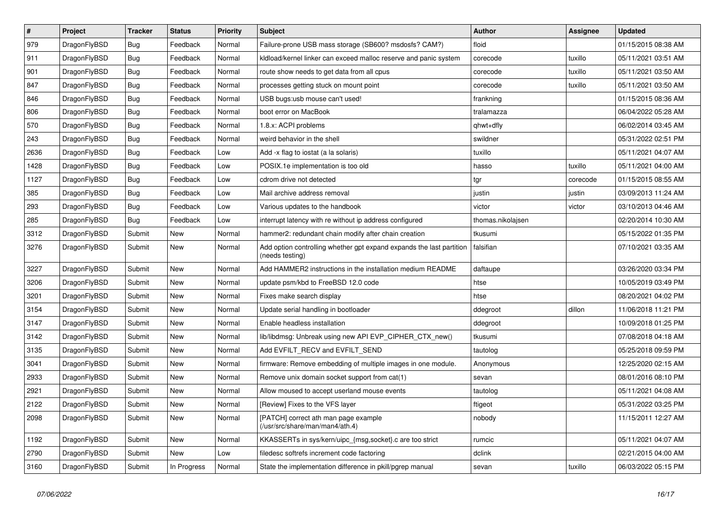| $\pmb{\#}$ | Project      | <b>Tracker</b> | <b>Status</b> | <b>Priority</b> | <b>Subject</b>                                                                          | <b>Author</b>     | Assignee | <b>Updated</b>      |
|------------|--------------|----------------|---------------|-----------------|-----------------------------------------------------------------------------------------|-------------------|----------|---------------------|
| 979        | DragonFlyBSD | <b>Bug</b>     | Feedback      | Normal          | Failure-prone USB mass storage (SB600? msdosfs? CAM?)                                   | floid             |          | 01/15/2015 08:38 AM |
| 911        | DragonFlyBSD | <b>Bug</b>     | Feedback      | Normal          | kidload/kernel linker can exceed malloc reserve and panic system                        | corecode          | tuxillo  | 05/11/2021 03:51 AM |
| 901        | DragonFlyBSD | <b>Bug</b>     | Feedback      | Normal          | route show needs to get data from all cpus                                              | corecode          | tuxillo  | 05/11/2021 03:50 AM |
| 847        | DragonFlyBSD | Bug            | Feedback      | Normal          | processes getting stuck on mount point                                                  | corecode          | tuxillo  | 05/11/2021 03:50 AM |
| 846        | DragonFlyBSD | Bug            | Feedback      | Normal          | USB bugs:usb mouse can't used!                                                          | frankning         |          | 01/15/2015 08:36 AM |
| 806        | DragonFlyBSD | Bug            | Feedback      | Normal          | boot error on MacBook                                                                   | tralamazza        |          | 06/04/2022 05:28 AM |
| 570        | DragonFlyBSD | Bug            | Feedback      | Normal          | 1.8.x: ACPI problems                                                                    | qhwt+dfly         |          | 06/02/2014 03:45 AM |
| 243        | DragonFlyBSD | Bug            | Feedback      | Normal          | weird behavior in the shell                                                             | swildner          |          | 05/31/2022 02:51 PM |
| 2636       | DragonFlyBSD | Bug            | Feedback      | Low             | Add -x flag to iostat (a la solaris)                                                    | tuxillo           |          | 05/11/2021 04:07 AM |
| 1428       | DragonFlyBSD | Bug            | Feedback      | Low             | POSIX.1e implementation is too old                                                      | hasso             | tuxillo  | 05/11/2021 04:00 AM |
| 1127       | DragonFlyBSD | <b>Bug</b>     | Feedback      | Low             | cdrom drive not detected                                                                | tgr               | corecode | 01/15/2015 08:55 AM |
| 385        | DragonFlyBSD | <b>Bug</b>     | Feedback      | Low             | Mail archive address removal                                                            | justin            | justin   | 03/09/2013 11:24 AM |
| 293        | DragonFlyBSD | <b>Bug</b>     | Feedback      | Low             | Various updates to the handbook                                                         | victor            | victor   | 03/10/2013 04:46 AM |
| 285        | DragonFlyBSD | <b>Bug</b>     | Feedback      | Low             | interrupt latency with re without ip address configured                                 | thomas.nikolajsen |          | 02/20/2014 10:30 AM |
| 3312       | DragonFlyBSD | Submit         | <b>New</b>    | Normal          | hammer2: redundant chain modify after chain creation                                    | tkusumi           |          | 05/15/2022 01:35 PM |
| 3276       | DragonFlyBSD | Submit         | New           | Normal          | Add option controlling whether gpt expand expands the last partition<br>(needs testing) | falsifian         |          | 07/10/2021 03:35 AM |
| 3227       | DragonFlyBSD | Submit         | <b>New</b>    | Normal          | Add HAMMER2 instructions in the installation medium README                              | daftaupe          |          | 03/26/2020 03:34 PM |
| 3206       | DragonFlyBSD | Submit         | <b>New</b>    | Normal          | update psm/kbd to FreeBSD 12.0 code                                                     | htse              |          | 10/05/2019 03:49 PM |
| 3201       | DragonFlyBSD | Submit         | <b>New</b>    | Normal          | Fixes make search display                                                               | htse              |          | 08/20/2021 04:02 PM |
| 3154       | DragonFlyBSD | Submit         | <b>New</b>    | Normal          | Update serial handling in bootloader                                                    | ddegroot          | dillon   | 11/06/2018 11:21 PM |
| 3147       | DragonFlyBSD | Submit         | <b>New</b>    | Normal          | Enable headless installation                                                            | ddegroot          |          | 10/09/2018 01:25 PM |
| 3142       | DragonFlyBSD | Submit         | New           | Normal          | lib/libdmsg: Unbreak using new API EVP CIPHER CTX new()                                 | tkusumi           |          | 07/08/2018 04:18 AM |
| 3135       | DragonFlyBSD | Submit         | New           | Normal          | Add EVFILT_RECV and EVFILT_SEND                                                         | tautolog          |          | 05/25/2018 09:59 PM |
| 3041       | DragonFlyBSD | Submit         | <b>New</b>    | Normal          | firmware: Remove embedding of multiple images in one module.                            | Anonymous         |          | 12/25/2020 02:15 AM |
| 2933       | DragonFlyBSD | Submit         | New           | Normal          | Remove unix domain socket support from cat(1)                                           | sevan             |          | 08/01/2016 08:10 PM |
| 2921       | DragonFlyBSD | Submit         | New           | Normal          | Allow moused to accept userland mouse events                                            | tautolog          |          | 05/11/2021 04:08 AM |
| 2122       | DragonFlyBSD | Submit         | New           | Normal          | [Review] Fixes to the VFS layer                                                         | ftigeot           |          | 05/31/2022 03:25 PM |
| 2098       | DragonFlyBSD | Submit         | New           | Normal          | [PATCH] correct ath man page example<br>(/usr/src/share/man/man4/ath.4)                 | nobody            |          | 11/15/2011 12:27 AM |
| 1192       | DragonFlyBSD | Submit         | New           | Normal          | KKASSERTs in sys/kern/uipc_{msg,socket}.c are too strict                                | rumcic            |          | 05/11/2021 04:07 AM |
| 2790       | DragonFlyBSD | Submit         | <b>New</b>    | Low             | filedesc softrefs increment code factoring                                              | dclink            |          | 02/21/2015 04:00 AM |
| 3160       | DragonFlyBSD | Submit         | In Progress   | Normal          | State the implementation difference in pkill/pgrep manual                               | sevan             | tuxillo  | 06/03/2022 05:15 PM |